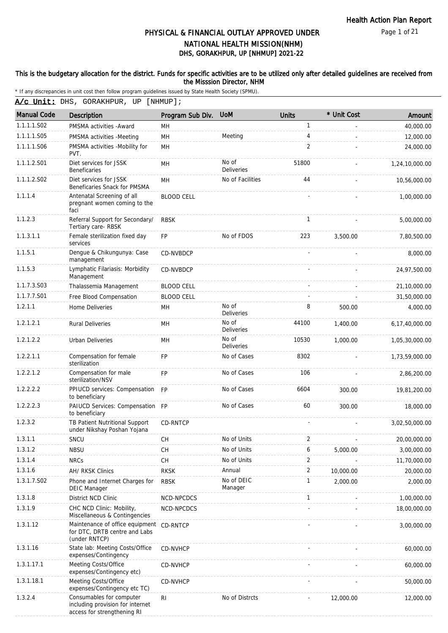Page 1 of 21

## DHS, GORAKHPUR, UP [NHMUP] 2021-22 PHYSICAL & FINANCIAL OUTLAY APPROVED UNDER NATIONAL HEALTH MISSION(NHM)

### This is the budgetary allocation for the district. Funds for specific activities are to be utilized only after detailed guidelines are received from the Misssion Director, NHM

| <b>Manual Code</b> | Description                                                                                 | Program Sub Div.  | <b>UoM</b>                 | <b>Units</b>   | * Unit Cost | Amount         |
|--------------------|---------------------------------------------------------------------------------------------|-------------------|----------------------------|----------------|-------------|----------------|
| 1.1.1.1.S02        | PMSMA activities - Award                                                                    | MН                |                            | 1              |             | 40,000.00      |
| 1.1.1.1.S05        | PMSMA activities -Meeting                                                                   | MH                | Meeting                    | 4              |             | 12,000.00      |
| 1.1.1.1.S06        | PMSMA activities -Mobility for<br>PVT.                                                      | MH                |                            | $\overline{2}$ |             | 24,000.00      |
| 1.1.1.2.S01        | Diet services for JSSK<br>Beneficaries                                                      | MH                | No of<br><b>Deliveries</b> | 51800          |             | 1,24,10,000.00 |
| 1.1.1.2.S02        | Diet services for JSSK<br>Beneficaries Snack for PMSMA                                      | MН                | No of Facilities           | 44             |             | 10,56,000.00   |
| 1.1.1.4            | Antenatal Screening of all<br>pregnant women coming to the<br>faci                          | <b>BLOOD CELL</b> |                            |                |             | 1,00,000.00    |
| 1.1.2.3            | Referral Support for Secondary/<br>Tertiary care-RBSK                                       | <b>RBSK</b>       |                            | 1              |             | 5,00,000.00    |
| 1.1.3.1.1          | Female sterilization fixed day<br>services                                                  | <b>FP</b>         | No of FDOS                 | 223            | 3,500.00    | 7,80,500.00    |
| 1.1.5.1            | Dengue & Chikungunya: Case<br>management                                                    | CD-NVBDCP         |                            |                |             | 8,000.00       |
| 1.1.5.3            | Lymphatic Filariasis: Morbidity<br>Management                                               | CD-NVBDCP         |                            |                |             | 24,97,500.00   |
| 1.1.7.3.S03        | Thalassemia Management                                                                      | <b>BLOOD CELL</b> |                            |                |             | 21,10,000.00   |
| 1.1.7.7.S01        | Free Blood Compensation                                                                     | <b>BLOOD CELL</b> |                            |                |             | 31,50,000.00   |
| 1.2.1.1            | Home Deliveries                                                                             | MH                | No of<br><b>Deliveries</b> | 8              | 500.00      | 4,000.00       |
| 1.2.1.2.1          | <b>Rural Deliveries</b>                                                                     | MН                | No of<br><b>Deliveries</b> | 44100          | 1,400.00    | 6,17,40,000.00 |
| 1.2.1.2.2          | <b>Urban Deliveries</b>                                                                     | <b>MH</b>         | No of<br><b>Deliveries</b> | 10530          | 1,000.00    | 1,05,30,000.00 |
| 1.2.2.1.1          | Compensation for female<br>sterilization                                                    | <b>FP</b>         | No of Cases                | 8302           |             | 1,73,59,000.00 |
| 1.2.2.1.2          | Compensation for male<br>sterilization/NSV                                                  | <b>FP</b>         | No of Cases                | 106            |             | 2,86,200.00    |
| 1.2.2.2.2          | PPIUCD services: Compensation<br>to beneficiary                                             | <b>FP</b>         | No of Cases                | 6604           | 300.00      | 19,81,200.00   |
| 1.2.2.2.3          | PAIUCD Services: Compensation FP<br>to beneficiary                                          |                   | No of Cases                | 60             | 300.00      | 18,000.00      |
| 1.2.3.2            | TB Patient Nutritional Support<br>under Nikshay Poshan Yojana                               | CD-RNTCP          |                            |                |             | 3,02,50,000.00 |
| 1.3.1.1            | SNCU                                                                                        | <b>CH</b>         | No of Units                | $\overline{2}$ |             | 20,00,000.00   |
| 1.3.1.2            | <b>NBSU</b>                                                                                 | <b>CH</b>         | No of Units                | 6              | 5,000.00    | 3,00,000.00    |
| 1.3.1.4            | <b>NRCs</b>                                                                                 | CH                | No of Units                | 2              |             | 11,70,000.00   |
| 1.3.1.6            | AH/ RKSK Clinics                                                                            | <b>RKSK</b>       | Annual                     | 2              | 10,000.00   | 20,000.00      |
| 1.3.1.7.S02        | Phone and Internet Charges for<br><b>DEIC Manager</b>                                       | <b>RBSK</b>       | No of DEIC<br>Manager      | 1              | 2,000.00    | 2,000.00       |
| 1.3.1.8            | District NCD Clinic                                                                         | NCD-NPCDCS        |                            | $\mathbf{1}$   |             | 1,00,000.00    |
| 1.3.1.9            | CHC NCD Clinic: Mobility,<br>Miscellaneous & Contingencies                                  | NCD-NPCDCS        |                            |                |             | 18,00,000.00   |
| 1.3.1.12           | Maintenance of office equipment<br>for DTC, DRTB centre and Labs<br>(under RNTCP)           | CD-RNTCP          |                            |                |             | 3,00,000.00    |
| 1.3.1.16           | State lab: Meeting Costs/Office<br>expenses/Contingency                                     | CD-NVHCP          |                            |                |             | 60,000.00      |
| 1.3.1.17.1         | Meeting Costs/Office<br>expenses/Contingency etc)                                           | CD-NVHCP          |                            |                |             | 60,000.00      |
| 1.3.1.18.1         | Meeting Costs/Office<br>expenses/Contingency etc TC)                                        | <b>CD-NVHCP</b>   |                            |                |             | 50,000.00      |
| 1.3.2.4            | Consumables for computer<br>including provision for internet<br>access for strengthening RI | $\mathsf{RI}$     | No of Distrcts             |                | 12,000.00   | 12,000.00      |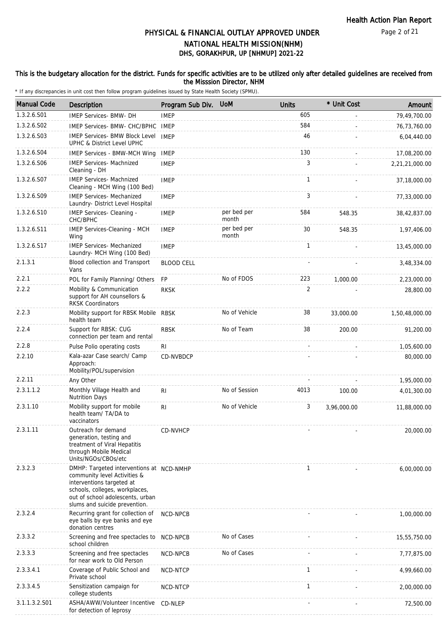#### This is the budgetary allocation for the district. Funds for specific activities are to be utilized only after detailed guidelines are received from the Misssion Director, NHM

| <b>Manual Code</b> | <b>Description</b>                                                                                                                                                                                           | Program Sub Div. UoM |                      | <b>Units</b> | * Unit Cost | Amount         |
|--------------------|--------------------------------------------------------------------------------------------------------------------------------------------------------------------------------------------------------------|----------------------|----------------------|--------------|-------------|----------------|
| 1.3.2.6.S01        | IMEP Services- BMW- DH                                                                                                                                                                                       | <b>IMEP</b>          |                      | 605          |             | 79,49,700.00   |
| 1.3.2.6.S02        | IMEP Services- BMW- CHC/BPHC                                                                                                                                                                                 | IMEP                 |                      | 584          |             | 76,73,760.00   |
| 1.3.2.6.S03        | <b>IMEP Services- BMW Block Level</b><br>UPHC & District Level UPHC                                                                                                                                          | <b>IMEP</b>          |                      | 46           |             | 6,04,440.00    |
| 1.3.2.6.S04        | <b>IMEP Services - BMW-MCH Wing</b>                                                                                                                                                                          | <b>IMEP</b>          |                      | 130          |             | 17,08,200.00   |
| 1.3.2.6.S06        | <b>IMEP Services- Machnized</b><br>Cleaning - DH                                                                                                                                                             | <b>IMEP</b>          |                      | 3            |             | 2,21,21,000.00 |
| 1.3.2.6.S07        | <b>IMEP Services- Machnized</b><br>Cleaning - MCH Wing (100 Bed)                                                                                                                                             | <b>IMEP</b>          |                      | 1            |             | 37,18,000.00   |
| 1.3.2.6.S09        | <b>IMEP Services- Mechanized</b><br>Laundry- District Level Hospital                                                                                                                                         | <b>IMEP</b>          |                      | 3            |             | 77,33,000.00   |
| 1.3.2.6.S10        | IMEP Services- Cleaning -<br>CHC/BPHC                                                                                                                                                                        | <b>IMEP</b>          | per bed per<br>month | 584          | 548.35      | 38,42,837.00   |
| 1.3.2.6.S11        | IMEP Services-Cleaning - MCH<br>Wing                                                                                                                                                                         | <b>IMEP</b>          | per bed per<br>month | 30           | 548.35      | 1,97,406.00    |
| 1.3.2.6.S17        | <b>IMEP Services- Mechanized</b><br>Laundry- MCH Wing (100 Bed)                                                                                                                                              | <b>IMEP</b>          |                      | $\mathbf{1}$ |             | 13,45,000.00   |
| 2.1.3.1            | Blood collection and Transport<br>Vans                                                                                                                                                                       | <b>BLOOD CELL</b>    |                      |              |             | 3,48,334.00    |
| 2.2.1              | POL for Family Planning/ Others                                                                                                                                                                              | <b>FP</b>            | No of FDOS           | 223          | 1,000.00    | 2,23,000.00    |
| 2.2.2              | Mobility & Communication<br>support for AH counsellors &<br><b>RKSK Coordinators</b>                                                                                                                         | <b>RKSK</b>          |                      | 2            |             | 28,800.00      |
| 2.2.3              | Mobility support for RBSK Mobile RBSK<br>health team                                                                                                                                                         |                      | No of Vehicle        | 38           | 33,000.00   | 1,50,48,000.00 |
| 2.2.4              | Support for RBSK: CUG<br>connection per team and rental                                                                                                                                                      | <b>RBSK</b>          | No of Team           | 38           | 200.00      | 91,200.00      |
| 2.2.8              | Pulse Polio operating costs                                                                                                                                                                                  | RI                   |                      |              |             | 1,05,600.00    |
| 2.2.10             | Kala-azar Case search/ Camp<br>Approach:<br>Mobility/POL/supervision                                                                                                                                         | CD-NVBDCP            |                      |              |             | 80,000.00      |
| 2.2.11             | Any Other                                                                                                                                                                                                    |                      |                      |              |             | 1,95,000.00    |
| 2.3.1.1.2          | Monthly Village Health and<br><b>Nutrition Days</b>                                                                                                                                                          | R <sub>l</sub>       | No of Session        | 4013         | 100.00      | 4,01,300.00    |
| 2.3.1.10           | Mobility support for mobile<br>health team/ TA/DA to<br>vaccinators                                                                                                                                          | R <sub>1</sub>       | No of Vehicle        | 3            | 3,96,000.00 | 11,88,000.00   |
| 2.3.1.11           | Outreach for demand<br>generation, testing and<br>treatment of Viral Hepatitis<br>through Mobile Medical<br>Units/NGOs/CBOs/etc                                                                              | CD-NVHCP             |                      |              |             | 20,000.00      |
| 2.3.2.3            | DMHP: Targeted interventions at NCD-NMHP<br>community level Activities &<br>interventions targeted at<br>schools, colleges, workplaces,<br>out of school adolescents, urban<br>slums and suicide prevention. |                      |                      | $\mathbf{1}$ |             | 6,00,000.00    |
| 2.3.2.4            | Recurring grant for collection of<br>eye balls by eye banks and eye<br>donation centres                                                                                                                      | NCD-NPCB             |                      |              |             | 1,00,000.00    |
| 2.3.3.2            | Screening and free spectacles to<br>school children                                                                                                                                                          | NCD-NPCB             | No of Cases          |              |             | 15,55,750.00   |
| 2.3.3.3            | Screening and free spectacles<br>for near work to Old Person                                                                                                                                                 | NCD-NPCB             | No of Cases          |              |             | 7,77,875.00    |
| 2.3.3.4.1          | Coverage of Public School and<br>Private school                                                                                                                                                              | NCD-NTCP             |                      | 1            |             | 4,99,660.00    |
| 2.3.3.4.5          | Sensitization campaign for<br>college students                                                                                                                                                               | NCD-NTCP             |                      | $\mathbf{1}$ |             | 2,00,000.00    |
| 3.1.1.3.2.S01      | ASHA/AWW/Volunteer Incentive<br>for detection of leprosy                                                                                                                                                     | CD-NLEP              |                      |              |             | 72,500.00      |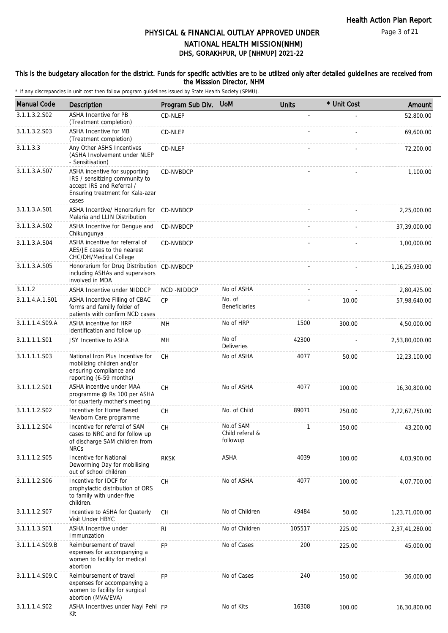#### This is the budgetary allocation for the district. Funds for specific activities are to be utilized only after detailed guidelines are received from the Misssion Director, NHM

| <b>Manual Code</b> | Description                                                                                                                               | Program Sub Div. | <b>UoM</b>                               | <b>Units</b> | * Unit Cost | Amount            |
|--------------------|-------------------------------------------------------------------------------------------------------------------------------------------|------------------|------------------------------------------|--------------|-------------|-------------------|
| 3.1.1.3.2.S02      | <b>ASHA Incentive for PB</b><br>(Treatment completion)                                                                                    | CD-NLEP          |                                          |              |             | 52,800.00         |
| 3.1.1.3.2.S03      | <b>ASHA Incentive for MB</b><br>(Treatment completion)                                                                                    | CD-NLEP          |                                          |              |             | 69,600.00         |
| 3.1.1.3.3          | Any Other ASHS Incentives<br>(ASHA Involvement under NLEP<br>- Sensitisation)                                                             | CD-NLEP          |                                          |              |             | 72,200.00         |
| 3.1.1.3.A.S07      | ASHA incentive for supporting<br>IRS / sensitizing community to<br>accept IRS and Referral /<br>Ensuring treatment for Kala-azar<br>cases | CD-NVBDCP        |                                          |              |             | 1,100.00          |
| 3.1.1.3.A.S01      | ASHA Incentive/ Honorarium for CD-NVBDCP<br>Malaria and LLIN Distribution                                                                 |                  |                                          |              |             | 2,25,000.00       |
| 3.1.1.3.A.S02      | ASHA Incentive for Dengue and<br>Chikungunya                                                                                              | CD-NVBDCP        |                                          |              |             | 37,39,000.00      |
| 3.1.1.3.A.S04      | ASHA incentive for referral of<br>AES/JE cases to the nearest<br>CHC/DH/Medical College                                                   | CD-NVBDCP        |                                          |              |             | 1,00,000.00       |
| 3.1.1.3.A.S05      | Honorarium for Drug Distribution CD-NVBDCP<br>including ASHAs and supervisors<br>involved in MDA                                          |                  |                                          |              |             | 1, 16, 25, 930.00 |
| 3.1.1.2            | <b>ASHA Incentive under NIDDCP</b>                                                                                                        | NCD-NIDDCP       | No of ASHA                               |              |             | 2,80,425.00       |
| 3.1.1.4.A.1.S01    | ASHA Incentive Filling of CBAC<br>forms and familly folder of<br>patients with confirm NCD cases                                          | CP               | No. of<br>Beneficiaries                  |              | 10.00       | 57,98,640.00      |
| 3.1.1.1.4.S09.A    | ASHA incentive for HRP<br>identification and follow up                                                                                    | MН               | No of HRP                                | 1500         | 300.00      | 4,50,000.00       |
| 3.1.1.1.1.S01      | JSY Incentive to ASHA                                                                                                                     | MН               | No of<br>Deliveries                      | 42300        |             | 2,53,80,000.00    |
| 3.1.1.1.1.S03      | National Iron Plus Incentive for<br>mobilizing children and/or<br>ensuring compliance and<br>reporting (6-59 months)                      | CH               | No of ASHA                               | 4077         | 50.00       | 12,23,100.00      |
| 3.1.1.1.2.S01      | ASHA incentive under MAA<br>programme @ Rs 100 per ASHA<br>for quarterly mother's meeting                                                 | <b>CH</b>        | No of ASHA                               | 4077         | 100.00      | 16,30,800.00      |
| 3.1.1.1.2.S02      | Incentive for Home Based<br>Newborn Care programme                                                                                        | CH               | No. of Child                             | 89071        | 250.00      | 2,22,67,750.00    |
| 3.1.1.1.2.S04      | Incentive for referral of SAM<br>cases to NRC and for follow up<br>of discharge SAM children from<br><b>NRCs</b>                          | СH               | No.of SAM<br>Child referal &<br>followup | 1            | 150.00      | 43,200.00         |
| 3.1.1.1.2.S05      | Incentive for National<br>Deworming Day for mobilising<br>out of school children                                                          | <b>RKSK</b>      | <b>ASHA</b>                              | 4039         | 100.00      | 4,03,900.00       |
| 3.1.1.1.2.S06      | Incentive for IDCF for<br>prophylactic distribution of ORS<br>to family with under-five<br>children.                                      | CH               | No of ASHA                               | 4077         | 100.00      | 4,07,700.00       |
| 3.1.1.1.2.S07      | Incentive to ASHA for Quaterly<br>Visit Under HBYC                                                                                        | CH               | No of Children                           | 49484        | 50.00       | 1,23,71,000.00    |
| 3.1.1.1.3.S01      | <b>ASHA Incentive under</b><br>Immunzation                                                                                                | RI               | No of Children                           | 105517       | 225.00      | 2,37,41,280.00    |
| 3.1.1.1.4.S09.B    | Reimbursement of travel<br>expenses for accompanying a<br>women to facility for medical<br>abortion                                       | <b>FP</b>        | No of Cases                              | 200          | 225.00      | 45,000.00         |
| 3.1.1.1.4.S09.C    | Reimbursement of travel<br>expenses for accompanying a<br>women to facility for surgical<br>abortion (MVA/EVA)                            | <b>FP</b>        | No of Cases                              | 240          | 150.00      | 36,000.00         |
| 3.1.1.1.4.S02      | ASHA Incentives under Nayi Pehl FP<br>Kit                                                                                                 |                  | No of Kits                               | 16308        | 100.00      | 16,30,800.00      |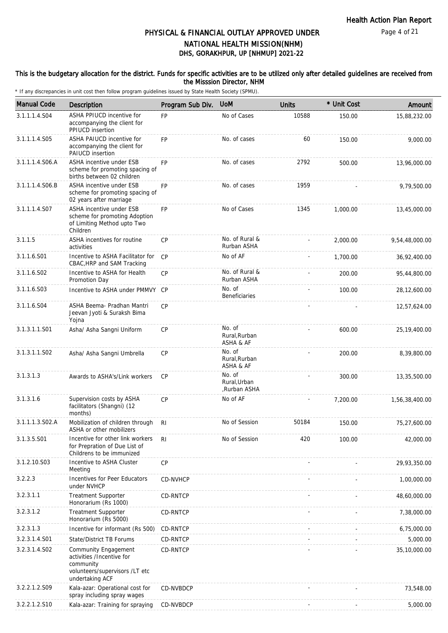#### This is the budgetary allocation for the district. Funds for specific activities are to be utilized only after detailed guidelines are received from the Misssion Director, NHM

| <b>Manual Code</b> | <b>Description</b>                                                                                                  | Program Sub Div. | <b>UOM</b>                             | <b>Units</b> | * Unit Cost | Amount         |
|--------------------|---------------------------------------------------------------------------------------------------------------------|------------------|----------------------------------------|--------------|-------------|----------------|
| 3.1.1.1.4.S04      | ASHA PPIUCD incentive for<br>accompanying the client for<br>PPIUCD insertion                                        | FP               | No of Cases                            | 10588        | 150.00      | 15,88,232.00   |
| 3.1.1.1.4.S05      | ASHA PAIUCD incentive for<br>accompanying the client for<br><b>PAIUCD</b> insertion                                 | <b>FP</b>        | No. of cases                           | 60           | 150.00      | 9,000.00       |
| 3.1.1.1.4.S06.A    | ASHA incentive under ESB<br>scheme for promoting spacing of<br>births between 02 children                           | <b>FP</b>        | No. of cases                           | 2792         | 500.00      | 13,96,000.00   |
| 3.1.1.1.4.S06.B    | ASHA incentive under ESB<br>scheme for promoting spacing of<br>02 years after marriage                              | FP               | No. of cases                           | 1959         |             | 9,79,500.00    |
| 3.1.1.1.4.S07      | ASHA incentive under ESB<br>scheme for promoting Adoption<br>of Limiting Method upto Two<br>Children                | <b>FP</b>        | No of Cases                            | 1345         | 1,000.00    | 13,45,000.00   |
| 3.1.1.5            | ASHA incentives for routine<br>activities                                                                           | CP               | No. of Rural &<br>Rurban ASHA          |              | 2,000.00    | 9,54,48,000.00 |
| 3.1.1.6.S01        | Incentive to ASHA Facilitator for<br>CBAC, HRP and SAM Tracking                                                     | CP               | No of AF                               |              | 1,700.00    | 36,92,400.00   |
| 3.1.1.6.S02        | Incentive to ASHA for Health<br>Promotion Day                                                                       | CP               | No. of Rural &<br>Rurban ASHA          |              | 200.00      | 95,44,800.00   |
| 3.1.1.6.S03        | Incentive to ASHA under PMMVY CP                                                                                    |                  | No. of<br><b>Beneficiaries</b>         |              | 100.00      | 28,12,600.00   |
| 3.1.1.6.S04        | ASHA Beema- Pradhan Mantri<br>Jeevan Jyoti & Suraksh Bima<br>Yojna                                                  | <b>CP</b>        |                                        |              |             | 12,57,624.00   |
| 3.1.3.1.1.S01      | Asha/ Asha Sangni Uniform                                                                                           | <b>CP</b>        | No. of<br>Rural, Rurban<br>ASHA & AF   |              | 600.00      | 25, 19, 400.00 |
| 3.1.3.1.1.S02      | Asha/ Asha Sangni Umbrella                                                                                          | <b>CP</b>        | No. of<br>Rural, Rurban<br>ASHA & AF   |              | 200.00      | 8,39,800.00    |
| 3.1.3.1.3          | Awards to ASHA's/Link workers                                                                                       | <b>CP</b>        | No. of<br>Rural, Urban<br>,Rurban ASHA |              | 300.00      | 13,35,500.00   |
| 3.1.3.1.6          | Supervision costs by ASHA<br>facilitators (Shangni) (12<br>months)                                                  | CP               | No of AF                               |              | 7,200.00    | 1,56,38,400.00 |
| 3.1.1.1.3.S02.A    | Mobilization of children through<br>ASHA or other mobilizers                                                        | <b>RI</b>        | No of Session                          | 50184        | 150.00      | 75,27,600.00   |
| 3.1.3.5.S01        | Incentive for other link workers<br>for Prepration of Due List of<br>Childrens to be immunized                      | RI.              | No of Session                          | 420          | 100.00      | 42,000.00      |
| 3.1.2.10.S03       | Incentive to ASHA Cluster<br>Meeting                                                                                | CP               |                                        |              |             | 29,93,350.00   |
| 3.2.2.3            | Incentives for Peer Educators<br>under NVHCP                                                                        | CD-NVHCP         |                                        |              |             | 1,00,000.00    |
| 3.2.3.1.1          | <b>Treatment Supporter</b><br>Honorarium (Rs 1000)                                                                  | CD-RNTCP         |                                        |              |             | 48,60,000.00   |
| 3.2.3.1.2          | <b>Treatment Supporter</b><br>Honorarium (Rs 5000)                                                                  | CD-RNTCP         |                                        |              |             | 7,38,000.00    |
| 3.2.3.1.3          | Incentive for informant (Rs 500)                                                                                    | CD-RNTCP         |                                        |              |             | 6,75,000.00    |
| 3.2.3.1.4.S01      | State/District TB Forums                                                                                            | CD-RNTCP         |                                        |              |             | 5,000.00       |
| 3.2.3.1.4.S02      | Community Engagement<br>activities /Incentive for<br>community<br>volunteers/supervisors /LT etc<br>undertaking ACF | CD-RNTCP         |                                        |              |             | 35,10,000.00   |
| 3.2.2.1.2.S09      | Kala-azar: Operational cost for<br>spray including spray wages                                                      | CD-NVBDCP        |                                        |              |             | 73,548.00      |
| 3.2.2.1.2.S10      | Kala-azar: Training for spraying                                                                                    | CD-NVBDCP        |                                        |              |             | 5,000.00       |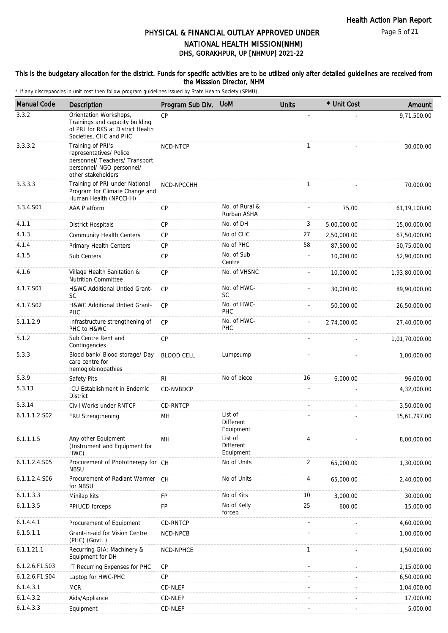Page 5 of 21

## DHS, GORAKHPUR, UP [NHMUP] 2021-22 PHYSICAL & FINANCIAL OUTLAY APPROVED UNDER NATIONAL HEALTH MISSION(NHM)

#### This is the budgetary allocation for the district. Funds for specific activities are to be utilized only after detailed guidelines are received from the Misssion Director, NHM

| <b>Manual Code</b> | Description                                                                                                                       | Program Sub Div.  | <b>UoM</b>                               | <b>Units</b> | * Unit Cost | Amount         |
|--------------------|-----------------------------------------------------------------------------------------------------------------------------------|-------------------|------------------------------------------|--------------|-------------|----------------|
| 3.3.2              | Orientation Workshops,<br>Trainings and capacity building<br>of PRI for RKS at District Health<br>Societies, CHC and PHC          | CP                |                                          |              |             | 9,71,500.00    |
| 3.3.3.2            | Training of PRI's<br>representatives/ Police<br>personnel/ Teachers/ Transport<br>personnel/ NGO personnel/<br>other stakeholders | NCD-NTCP          |                                          | $\mathbf{1}$ |             | 30,000.00      |
| 3.3.3.3            | Training of PRI under National<br>Program for Climate Change and<br>Human Health (NPCCHH)                                         | NCD-NPCCHH        |                                          | $\mathbf{1}$ |             | 70,000.00      |
| 3.3.4.S01          | <b>AAA Platform</b>                                                                                                               | <b>CP</b>         | No. of Rural &<br>Rurban ASHA            |              | 75.00       | 61,19,100.00   |
| 4.1.1              | <b>District Hospitals</b>                                                                                                         | <b>CP</b>         | No. of DH                                | 3            | 5,00,000.00 | 15,00,000.00   |
| 4.1.3              | <b>Community Health Centers</b>                                                                                                   | <b>CP</b>         | No of CHC                                | 27           | 2,50,000.00 | 67,50,000.00   |
| 4.1.4              | Primary Health Centers                                                                                                            | <b>CP</b>         | No of PHC                                | 58           | 87,500.00   | 50,75,000.00   |
| 4.1.5              | Sub Centers                                                                                                                       | CP                | No. of Sub<br>Centre                     |              | 10,000.00   | 52,90,000.00   |
| 4.1.6              | Village Health Sanitation &<br><b>Nutrition Committee</b>                                                                         | <b>CP</b>         | No. of VHSNC                             |              | 10,000.00   | 1,93,80,000.00 |
| 4.1.7.S01          | <b>H&amp;WC Additional Untied Grant-</b><br><b>SC</b>                                                                             | CP                | No. of HWC-<br><b>SC</b>                 |              | 30,000.00   | 89,90,000.00   |
| 4.1.7.S02          | H&WC Additional Untied Grant-<br><b>PHC</b>                                                                                       | CP                | No. of HWC-<br>PHC                       |              | 50,000.00   | 26,50,000.00   |
| 5.1.1.2.9          | Infrastructure strengthening of<br>PHC to H&WC                                                                                    | <b>CP</b>         | No. of HWC-<br><b>PHC</b>                |              | 2,74,000.00 | 27,40,000.00   |
| 5.1.2              | Sub Centre Rent and<br>Contingencies                                                                                              | <b>CP</b>         |                                          |              |             | 1,01,70,000.00 |
| 5.3.3              | Blood bank/ Blood storage/ Day<br>care centre for<br>hemoglobinopathies                                                           | <b>BLOOD CELL</b> | Lumpsump                                 |              |             | 1,00,000.00    |
| 5.3.9              | Safety Pits                                                                                                                       | RI.               | No of piece                              | 16           | 6,000.00    | 96,000.00      |
| 5.3.13             | <b>ICU Establishment in Endemic</b><br><b>District</b>                                                                            | CD-NVBDCP         |                                          |              |             | 4,32,000.00    |
| 5.3.14             | Civil Works under RNTCP                                                                                                           | CD-RNTCP          |                                          |              |             | 3,50,000.00    |
| 6.1.1.1.2.S02      | FRU Strengthening                                                                                                                 | MH                | List of<br><b>Different</b><br>Equipment |              |             | 15,61,797.00   |
| 6.1.1.1.5          | Any other Equipment<br>(Instrument and Equipment for<br>HWC)                                                                      | MН                | List of<br>Different<br>Equipment        | 4            |             | 8,00,000.00    |
| 6.1.1.2.4.S05      | Procurement of Phototherepy for CH<br><b>NBSU</b>                                                                                 |                   | No of Units                              | 2            | 65,000.00   | 1,30,000.00    |
| 6.1.1.2.4.S06      | Procurement of Radiant Warmer CH<br>for NBSU                                                                                      |                   | No of Units                              | 4            | 65,000.00   | 2,40,000.00    |
| 6.1.1.3.3          | Minilap kits                                                                                                                      | FP.               | No of Kits                               | 10           | 3,000.00    | 30,000.00      |
| 6.1.1.3.5          | PPIUCD forceps                                                                                                                    | FP                | No of Kelly<br>forcep                    | 25           | 600.00      | 15,000.00      |
| 6.1.4.4.1          | Procurement of Equipment                                                                                                          | CD-RNTCP          |                                          |              |             | 4,60,000.00    |
| 6.1.5.1.1          | Grant-in-aid for Vision Centre<br>(PHC) (Govt.)                                                                                   | NCD-NPCB          |                                          |              |             | 1,00,000.00    |
| 6.1.1.21.1         | Recurring GIA: Machinery &<br>Equipment for DH                                                                                    | NCD-NPHCE         |                                          | $\mathbf{1}$ |             | 1,50,000.00    |
| 6.1.2.6.F1.S03     | IT Recurring Expenses for PHC                                                                                                     | CP                |                                          |              |             | 2,15,000.00    |
| 6.1.2.6.F1.S04     | Laptop for HWC-PHC                                                                                                                | <b>CP</b>         |                                          |              |             | 6,50,000.00    |
| 6.1.4.3.1          | <b>MCR</b>                                                                                                                        | CD-NLEP           |                                          |              |             | 1,04,000.00    |
| 6.1.4.3.2          | Aids/Appliance                                                                                                                    | CD-NLEP           |                                          |              |             | 17,000.00      |
| 6.1.4.3.3          | Equipment                                                                                                                         | CD-NLEP           |                                          |              |             | 5,000.00       |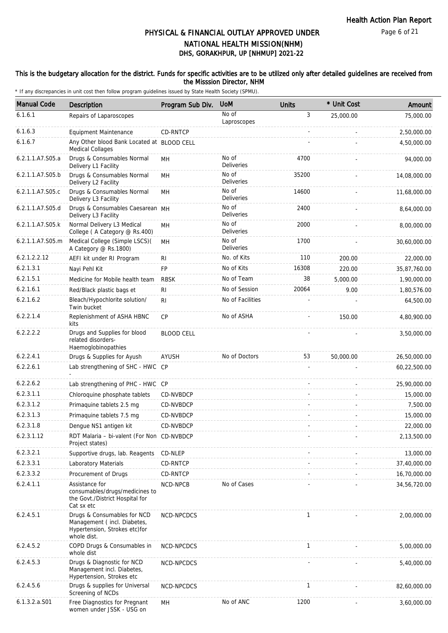### This is the budgetary allocation for the district. Funds for specific activities are to be utilized only after detailed guidelines are received from the Misssion Director, NHM

| <b>Manual Code</b> | Description                                                                                                | Program Sub Div.  | <b>UoM</b>                 | <b>Units</b> | * Unit Cost | Amount       |
|--------------------|------------------------------------------------------------------------------------------------------------|-------------------|----------------------------|--------------|-------------|--------------|
| 6.1.6.1            | Repairs of Laparoscopes                                                                                    |                   | No of<br>Laproscopes       | 3            | 25,000.00   | 75,000.00    |
| 6.1.6.3            | <b>Equipment Maintenance</b>                                                                               | <b>CD-RNTCP</b>   |                            |              |             | 2,50,000.00  |
| 6.1.6.7            | Any Other blood Bank Located at BLOOD CELL<br><b>Medical Collages</b>                                      |                   |                            |              |             | 4,50,000.00  |
| 6.2.1.1.A7.S05.a   | Drugs & Consumables Normal<br>Delivery L1 Facility                                                         | <b>MH</b>         | No of<br><b>Deliveries</b> | 4700         |             | 94,000.00    |
| 6.2.1.1.A7.S05.b   | Drugs & Consumables Normal<br>Delivery L2 Facility                                                         | MH                | No of<br><b>Deliveries</b> | 35200        |             | 14,08,000.00 |
| 6.2.1.1.A7.S05.c   | Drugs & Consumables Normal<br>Delivery L3 Facility                                                         | <b>MH</b>         | No of<br><b>Deliveries</b> | 14600        |             | 11,68,000.00 |
| 6.2.1.1.A7.S05.d   | Drugs & Consumables Caesarean MH<br>Delivery L3 Facility                                                   |                   | No of<br><b>Deliveries</b> | 2400         |             | 8,64,000.00  |
| 6.2.1.1.A7.S05.k   | Normal Delivery L3 Medical<br>College (A Category @ Rs.400)                                                | MH                | No of<br>Deliveries        | 2000         |             | 8,00,000.00  |
| 6.2.1.1.A7.S05.m   | Medical College (Simple LSCS)(<br>A Category @ Rs.1800)                                                    | MH                | No of<br><b>Deliveries</b> | 1700         |             | 30,60,000.00 |
| 6.2.1.2.2.12       | AEFI kit under RI Program                                                                                  | RI                | No. of Kits                | 110          | 200.00      | 22,000.00    |
| 6.2.1.3.1          | Nayi Pehl Kit                                                                                              | <b>FP</b>         | No of Kits                 | 16308        | 220.00      | 35,87,760.00 |
| 6.2.1.5.1          | Medicine for Mobile health team                                                                            | <b>RBSK</b>       | No of Team                 | 38           | 5,000.00    | 1,90,000.00  |
| 6.2.1.6.1          | Red/Black plastic bags et                                                                                  | R <sub>l</sub>    | No of Session              | 20064        | 9.00        | 1,80,576.00  |
| 6.2.1.6.2          | Bleach/Hypochlorite solution/<br>Twin bucket                                                               | R <sub>l</sub>    | No of Facilities           |              |             | 64,500.00    |
| 6.2.2.1.4          | Replenishment of ASHA HBNC<br>kits                                                                         | CP                | No of ASHA                 |              | 150.00      | 4,80,900.00  |
| 6.2.2.2.2          | Drugs and Supplies for blood<br>related disorders-<br>Haemoglobinopathies                                  | <b>BLOOD CELL</b> |                            |              |             | 3,50,000.00  |
| 6.2.2.4.1          | Drugs & Supplies for Ayush                                                                                 | AYUSH             | No of Doctors              | 53           | 50,000.00   | 26,50,000.00 |
| 6.2.2.6.1          | Lab strengthening of SHC - HWC CP                                                                          |                   |                            |              |             | 60,22,500.00 |
| 6.2.2.6.2          | Lab strengthening of PHC - HWC CP                                                                          |                   |                            |              |             | 25,90,000.00 |
| 6.2.3.1.1          | Chloroquine phosphate tablets                                                                              | CD-NVBDCP         |                            |              |             | 15,000.00    |
| 6.2.3.1.2          | Primaquine tablets 2.5 mg                                                                                  | <b>CD-NVBDCP</b>  |                            |              |             | 7,500.00     |
| 6.2.3.1.3          | Primaquine tablets 7.5 mg                                                                                  | CD-NVBDCP         |                            |              |             | 15,000.00    |
| 6.2.3.1.8          | Dengue NS1 antigen kit                                                                                     | CD-NVBDCP         |                            |              |             | 22,000.00    |
| 6.2.3.1.12         | RDT Malaria - bi-valent (For Non CD-NVBDCP<br>Project states)                                              |                   |                            |              |             | 2,13,500.00  |
| 6.2.3.2.1          | Supportive drugs, lab. Reagents                                                                            | CD-NLEP           |                            |              |             | 13,000.00    |
| 6.2.3.3.1          | Laboratory Materials                                                                                       | CD-RNTCP          |                            |              |             | 37,40,000.00 |
| 6.2.3.3.2          | Procurement of Drugs                                                                                       | <b>CD-RNTCP</b>   |                            |              |             | 16,70,000.00 |
| 6.2.4.1.1          | Assistance for<br>consumables/drugs/medicines to<br>the Govt./District Hospital for<br>Cat sx etc          | NCD-NPCB          | No of Cases                |              |             | 34,56,720.00 |
| 6.2.4.5.1          | Drugs & Consumables for NCD<br>Management (incl. Diabetes,<br>Hypertension, Strokes etc)for<br>whole dist. | NCD-NPCDCS        |                            | $\mathbf{1}$ |             | 2,00,000.00  |
| 6.2.4.5.2          | COPD Drugs & Consumables in<br>whole dist                                                                  | NCD-NPCDCS        |                            | 1            |             | 5,00,000.00  |
| 6.2.4.5.3          | Drugs & Diagnostic for NCD<br>Management incl. Diabetes,<br>Hypertension, Strokes etc                      | NCD-NPCDCS        |                            |              |             | 5,40,000.00  |
| 6.2.4.5.6          | Drugs & supplies for Universal<br>Screening of NCDs                                                        | NCD-NPCDCS        |                            | $\mathbf{1}$ |             | 82,60,000.00 |
| 6.1.3.2.a.S01      | Free Diagnostics for Pregnant<br>women under JSSK - USG on                                                 | MН                | No of ANC                  | 1200         |             | 3,60,000.00  |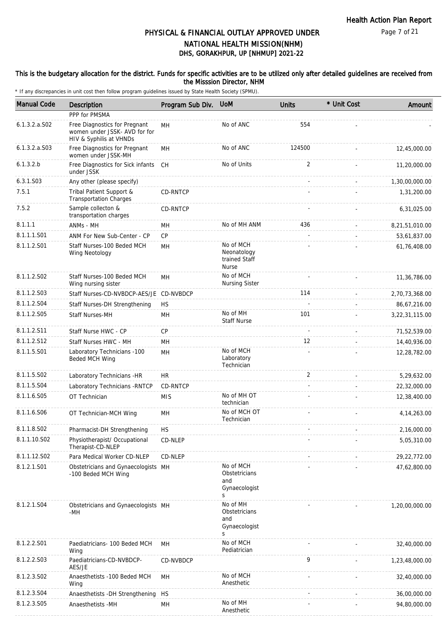#### This is the budgetary allocation for the district. Funds for specific activities are to be utilized only after detailed guidelines are received from the Misssion Director, NHM

| <b>Manual Code</b> | Description                                                                               | Program Sub Div. | <b>UoM</b>                                                | <b>Units</b>   | * Unit Cost | Amount         |
|--------------------|-------------------------------------------------------------------------------------------|------------------|-----------------------------------------------------------|----------------|-------------|----------------|
|                    | PPP for PMSMA                                                                             |                  |                                                           |                |             |                |
| $6.1.3.2.a.$ SO2   | Free Diagnostics for Pregnant<br>women under JSSK- AVD for for<br>HIV & Syphilis at VHNDs | MH               | No of ANC                                                 | 554            |             |                |
| $6.1.3.2.a.$ SO3   | Free Diagnostics for Pregnant<br>women under JSSK-MH                                      | MH               | No of ANC                                                 | 124500         |             | 12,45,000.00   |
| 6.1.3.2.b          | Free Diagnostics for Sick infants<br>under JSSK                                           | CH               | No of Units                                               | 2              |             | 11,20,000.00   |
| 6.3.1.S03          | Any other (please specify)                                                                |                  |                                                           |                |             | 1,30,00,000.00 |
| 7.5.1              | Tribal Patient Support &<br><b>Transportation Charges</b>                                 | CD-RNTCP         |                                                           |                |             | 1,31,200.00    |
| 7.5.2              | Sample collecton &<br>transportation charges                                              | CD-RNTCP         |                                                           |                |             | 6,31,025.00    |
| 8.1.1.1            | ANMs - MH                                                                                 | MН               | No of MH ANM                                              | 436            |             | 8,21,51,010.00 |
| 8.1.1.1.S01        | ANM For New Sub-Center - CP                                                               | CP               |                                                           |                |             | 53,61,837.00   |
| 8.1.1.2.S01        | Staff Nurses-100 Beded MCH<br>Wing Neotology                                              | MH               | No of MCH<br>Neonatology<br>trained Staff<br><b>Nurse</b> |                |             | 61,76,408.00   |
| 8.1.1.2.S02        | Staff Nurses-100 Beded MCH<br>Wing nursing sister                                         | MН               | No of MCH<br><b>Nursing Sister</b>                        |                |             | 11,36,786.00   |
| 8.1.1.2.S03        | Staff Nurses-CD-NVBDCP-AES/JE CD-NVBDCP                                                   |                  |                                                           | 114            |             | 2,70,73,368.00 |
| 8.1.1.2.S04        | Staff Nurses-DH Strengthening                                                             | <b>HS</b>        |                                                           |                |             | 86,67,216.00   |
| 8.1.1.2.S05        | Staff Nurses-MH                                                                           | MH               | No of MH<br><b>Staff Nurse</b>                            | 101            |             | 3,22,31,115.00 |
| 8.1.1.2.S11        | Staff Nurse HWC - CP                                                                      | <b>CP</b>        |                                                           | $\overline{a}$ | $\sim$      | 71,52,539.00   |
| 8.1.1.2.S12        | Staff Nurses HWC - MH                                                                     | MH               |                                                           | 12             |             | 14,40,936.00   |
| 8.1.1.5.S01        | Laboratory Technicians -100<br>Beded MCH Wing                                             | MH               | No of MCH<br>Laboratory<br>Technician                     |                |             | 12,28,782.00   |
| 8.1.1.5.S02        | Laboratory Technicians -HR                                                                | HR.              |                                                           | $\overline{2}$ |             | 5,29,632.00    |
| 8.1.1.5.S04        | Laboratory Technicians - RNTCP                                                            | CD-RNTCP         |                                                           |                |             | 22,32,000.00   |
| 8.1.1.6.S05        | OT Technician                                                                             | <b>MIS</b>       | No of MH OT                                               |                |             | 12,38,400.00   |
|                    |                                                                                           |                  | technician                                                |                |             |                |
| 8.1.1.6.S06        | OT Technician-MCH Wing                                                                    | MH               | No of MCH OT<br>Technician                                |                |             | 4, 14, 263.00  |
| 8.1.1.8.S02        | Pharmacist-DH Strengthening                                                               | <b>HS</b>        |                                                           |                |             | 2,16,000.00    |
| 8.1.1.10.S02       | Physiotherapist/ Occupational<br>Therapist-CD-NLEP                                        | CD-NLEP          |                                                           |                |             | 5,05,310.00    |
| 8.1.1.12.S02       | Para Medical Worker CD-NLEP                                                               | CD-NLEP          |                                                           |                |             | 29,22,772.00   |
| 8.1.2.1.S01        | Obstetricians and Gynaecologists MH<br>-100 Beded MCH Wing                                |                  | No of MCH<br>Obstetricians<br>and<br>Gynaecologist<br>S   |                |             | 47,62,800.00   |
| 8.1.2.1.S04        | Obstetricians and Gynaecologists MH<br>-MH                                                |                  | No of MH<br>Obstetricians<br>and<br>Gynaecologist<br>S    |                |             | 1,20,00,000.00 |
| 8.1.2.2.S01        | Paediatricians- 100 Beded MCH<br>Wing                                                     | MH               | No of MCH<br>Pediatrician                                 |                |             | 32,40,000.00   |
| 8.1.2.2.S03        | Paediatricians-CD-NVBDCP-<br>AES/JE                                                       | CD-NVBDCP        |                                                           | 9              |             | 1,23,48,000.00 |
| 8.1.2.3.SO2        | Anaesthetists -100 Beded MCH<br>Wing                                                      | MH               | No of MCH<br>Anesthetic                                   |                |             | 32,40,000.00   |
| 8.1.2.3.S04        | Anaesthetists - DH Strengthening HS                                                       |                  |                                                           |                |             | 36,00,000.00   |
| 8.1.2.3.S05        | Anaesthetists -MH                                                                         | MH               | No of MH<br>Anesthetic                                    |                |             | 94,80,000.00   |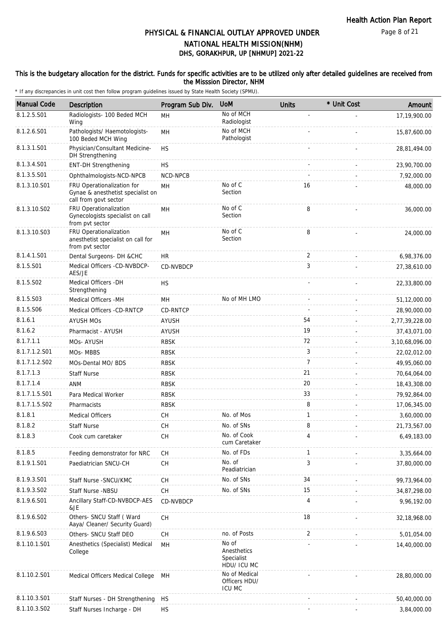### This is the budgetary allocation for the district. Funds for specific activities are to be utilized only after detailed guidelines are received from the Misssion Director, NHM

| <b>Manual Code</b> | Description                                                                              | Program Sub Div. | <b>UoM</b>                                        | <b>Units</b>   | * Unit Cost | Amount         |
|--------------------|------------------------------------------------------------------------------------------|------------------|---------------------------------------------------|----------------|-------------|----------------|
| 8.1.2.5.S01        | Radiologists- 100 Beded MCH<br>Wing                                                      | MH               | No of MCH<br>Radiologist                          |                |             | 17,19,900.00   |
| 8.1.2.6.S01        | Pathologists/ Haemotologists-<br>100 Beded MCH Wing                                      | MH               | No of MCH<br>Pathologist                          |                |             | 15,87,600.00   |
| 8.1.3.1.S01        | Physician/Consultant Medicine-<br>DH Strengthening                                       | <b>HS</b>        |                                                   |                |             | 28,81,494.00   |
| 8.1.3.4.S01        | <b>ENT-DH Strengthening</b>                                                              | <b>HS</b>        |                                                   |                |             | 23,90,700.00   |
| 8.1.3.5.S01        | Ophthalmologists-NCD-NPCB                                                                | NCD-NPCB         |                                                   |                |             | 7,92,000.00    |
| 8.1.3.10.S01       | FRU Operationalization for<br>Gynae & anesthetist specialist on<br>call from govt sector | MH               | No of C<br>Section                                | 16             |             | 48,000.00      |
| 8.1.3.10.S02       | FRU Operationalization<br>Gynecologists specialist on call<br>from pvt sector            | MH               | No of C<br>Section                                | 8              |             | 36,000.00      |
| 8.1.3.10.S03       | FRU Operationalization<br>anesthetist specialist on call for<br>from pvt sector          | MH               | No of C<br>Section                                | 8              |             | 24,000.00      |
| 8.1.4.1.S01        | Dental Surgeons- DH &CHC                                                                 | <b>HR</b>        |                                                   | 2              |             | 6,98,376.00    |
| 8.1.5.S01          | Medical Officers -CD-NVBDCP-<br>AES/JE                                                   | CD-NVBDCP        |                                                   | 3              |             | 27,38,610.00   |
| 8.1.5.S02          | Medical Officers - DH<br>Strengthening                                                   | <b>HS</b>        |                                                   |                |             | 22,33,800.00   |
| 8.1.5.S03          | Medical Officers - MH                                                                    | MH               | No of MH LMO                                      |                |             | 51,12,000.00   |
| 8.1.5.S06          | Medical Officers -CD-RNTCP                                                               | CD-RNTCP         |                                                   |                |             | 28,90,000.00   |
| 8.1.6.1            | <b>AYUSH MOs</b>                                                                         | <b>AYUSH</b>     |                                                   | 54             |             | 2,77,39,228.00 |
| 8.1.6.2            | Pharmacist - AYUSH                                                                       | <b>AYUSH</b>     |                                                   | 19             |             | 37,43,071.00   |
| 8.1.7.1.1          | MOs-AYUSH                                                                                | <b>RBSK</b>      |                                                   | 72             |             | 3,10,68,096.00 |
| 8.1.7.1.2.S01      | MOs-MBBS                                                                                 | <b>RBSK</b>      |                                                   | 3              |             | 22,02,012.00   |
| 8.1.7.1.2.S02      | MOs-Dental MO/ BDS                                                                       | <b>RBSK</b>      |                                                   | $\overline{7}$ |             | 49,95,060.00   |
| 8.1.7.1.3          | <b>Staff Nurse</b>                                                                       | <b>RBSK</b>      |                                                   | 21             |             | 70,64,064.00   |
| 8.1.7.1.4          | <b>ANM</b>                                                                               | <b>RBSK</b>      |                                                   | 20             |             | 18,43,308.00   |
| 8.1.7.1.5.S01      | Para Medical Worker                                                                      | <b>RBSK</b>      |                                                   | 33             |             | 79,92,864.00   |
| 8.1.7.1.5.S02      | Pharmacists                                                                              | <b>RBSK</b>      |                                                   | 8              |             | 17,06,345.00   |
| 8.1.8.1            | <b>Medical Officers</b>                                                                  | <b>CH</b>        | No. of Mos                                        | 1              |             | 3,60,000.00    |
| 8.1.8.2            | <b>Staff Nurse</b>                                                                       | <b>CH</b>        | No. of SNs                                        | 8              |             | 21,73,567.00   |
| 8.1.8.3            | Cook cum caretaker                                                                       | CН               | No. of Cook<br>cum Caretaker                      | 4              |             | 6,49,183.00    |
| 8.1.8.5            | Feeding demonstrator for NRC                                                             | CH               | No. of FDs                                        | 1              |             | 3,35,664.00    |
| 8.1.9.1.S01        | Paediatrician SNCU-CH                                                                    | CH               | No. of<br>Peadiatrician                           | 3              |             | 37,80,000.00   |
| 8.1.9.3.S01        | Staff Nurse - SNCU/KMC                                                                   | CH               | No. of SNs                                        | 34             |             | 99,73,964.00   |
| 8.1.9.3.SO2        | Staff Nurse -NBSU                                                                        | CH               | No. of SNs                                        | 15             |             | 34,87,298.00   |
| 8.1.9.6.S01        | Ancillary Staff-CD-NVBDCP-AES<br>&JE                                                     | CD-NVBDCP        |                                                   | 4              |             | 9,96,192.00    |
| 8.1.9.6.SO2        | Others- SNCU Staff ( Ward<br>Aaya/ Cleaner/ Security Guard)                              | <b>CH</b>        |                                                   | 18             |             | 32,18,968.00   |
| 8.1.9.6.S03        | Others- SNCU Staff DEO                                                                   | CH               | no. of Posts                                      | $\overline{2}$ |             | 5,01,054.00    |
| 8.1.10.1.S01       | Anesthetics (Specialist) Medical<br>College                                              | MН               | No of<br>Anesthetics<br>Specialist<br>HDU/ ICU MC |                |             | 14,40,000.00   |
| 8.1.10.2.S01       | Medical Officers Medical College                                                         | МH               | No of Medical<br>Officers HDU/<br>ICU MC          |                |             | 28,80,000.00   |
| 8.1.10.3.S01       | Staff Nurses - DH Strengthening                                                          | <b>HS</b>        |                                                   |                |             | 50,40,000.00   |
| 8.1.10.3.S02       | Staff Nurses Incharge - DH                                                               | <b>HS</b>        |                                                   |                |             | 3,84,000.00    |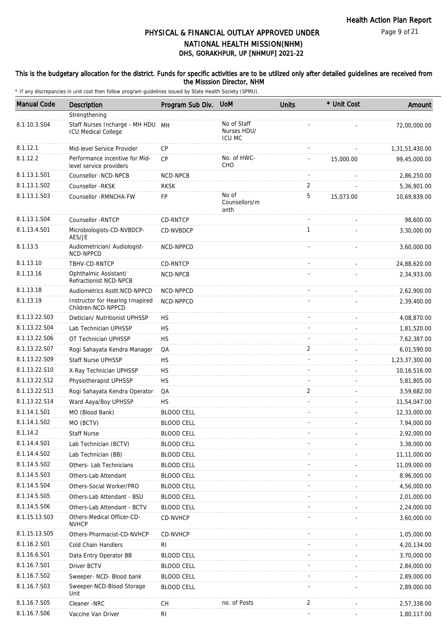#### This is the budgetary allocation for the district. Funds for specific activities are to be utilized only after detailed guidelines are received from the Misssion Director, NHM

| <b>Manual Code</b>            | Description                                                  | Program Sub Div.                       | <b>UoM</b>                           | Units        | * Unit Cost | Amount                      |
|-------------------------------|--------------------------------------------------------------|----------------------------------------|--------------------------------------|--------------|-------------|-----------------------------|
|                               | Strengthening                                                |                                        |                                      |              |             |                             |
| 8.1.10.3.S04                  | Staff Nurses Incharge - MH HDU<br><b>ICU Medical College</b> | MH                                     | No of Staff<br>Nurses HDU/<br>ICU MC |              |             | 72,00,000.00                |
| 8.1.12.1                      | Mid-level Service Provider                                   | CP                                     |                                      |              |             | 1,31,51,430.00              |
| 8.1.12.2                      | Performance incentive for Mid-<br>level service providers    | CP                                     | No. of HWC-<br><b>CHO</b>            |              | 15,000.00   | 99,45,000.00                |
| 8.1.13.1.S01                  | Counsellor -NCD-NPCB                                         | NCD-NPCB                               |                                      |              |             | 2,86,250.00                 |
| 8.1.13.1.S02                  | Counsellor -RKSK                                             | <b>RKSK</b>                            |                                      | 2            |             | 5,36,901.00                 |
| 8.1.13.1.S03                  | Counsellor - RMNCHA-FW                                       | <b>FP</b>                              | No of<br>Counsellors/m<br>onth       | 5            | 15,073.00   | 10,69,839.00                |
| 8.1.13.1.S04                  | Counsellor -RNTCP                                            | <b>CD-RNTCP</b>                        |                                      |              |             | 98,600.00                   |
| 8.1.13.4.S01                  | Microbiologists-CD-NVBDCP-<br>AES/JE                         | CD-NVBDCP                              |                                      | $\mathbf{1}$ |             | 3,30,000.00                 |
| 8.1.13.5                      | Audiometrician/ Audiologist-<br>NCD-NPPCD                    | NCD-NPPCD                              |                                      |              |             | 3,60,000.00                 |
| 8.1.13.10                     | TBHV-CD-RNTCP                                                | CD-RNTCP                               |                                      |              |             | 24,88,620.00                |
| 8.1.13.16                     | Ophthalmic Assistant/<br>Refractionist NCD-NPCB              | <b>NCD-NPCB</b>                        |                                      |              |             | 2,34,933.00                 |
| 8.1.13.18                     | Audiometrics Asstt.NCD-NPPCD                                 | NCD-NPPCD                              |                                      |              |             | 2,62,900.00                 |
| 8.1.13.19                     | Instructor for Hearing Imapired<br>Children-NCD-NPPCD        | NCD-NPPCD                              |                                      |              |             | 2,39,400.00                 |
| 8.1.13.22.S03                 | Dietician/ Nutritionist UPHSSP                               | <b>HS</b>                              |                                      |              |             | 4,08,870.00                 |
| 8.1.13.22.S04                 | Lab Technician UPHSSP                                        | <b>HS</b>                              |                                      |              |             | 1,81,520.00                 |
| 8.1.13.22.S06                 | OT Technician UPHSSP                                         | <b>HS</b>                              |                                      |              |             | 7,62,387.00                 |
| 8.1.13.22.S07                 | Rogi Sahayata Kendra Manager                                 | QA                                     |                                      | 2            |             | 6,01,590.00                 |
| 8.1.13.22.S09                 | <b>Staff Nurse UPHSSP</b>                                    | HS                                     |                                      |              |             | 1,23,37,300.00              |
| 8.1.13.22.S10                 | X-Ray Technician UPHSSP                                      | <b>HS</b>                              |                                      |              |             | 10,16,516.00                |
| 8.1.13.22.S12                 | Physiotherapist UPHSSP                                       | <b>HS</b>                              |                                      |              |             | 5,81,805.00                 |
| 8.1.13.22.S13                 | Rogi Sahayata Kendra Operator                                | QA                                     |                                      | 2            |             | 3,59,682.00                 |
| 8.1.13.22.S14<br>8.1.14.1.S01 | Ward Aaya/Boy UPHSSP                                         | <b>HS</b>                              |                                      |              |             | 11,54,047.00                |
| 8.1.14.1.S02                  | MO (Blood Bank)                                              | <b>BLOOD CELL</b>                      |                                      |              |             | 12,33,000.00                |
| 8.1.14.2                      | MO (BCTV)<br><b>Staff Nurse</b>                              | <b>BLOOD CELL</b>                      |                                      |              |             | 7,94,000.00                 |
| 8.1.14.4.S01                  | Lab Technician (BCTV)                                        | <b>BLOOD CELL</b>                      |                                      |              |             | 2,92,000.00                 |
| 8.1.14.4.S02                  | Lab Technician (BB)                                          | <b>BLOOD CELL</b><br><b>BLOOD CELL</b> |                                      |              |             | 3,38,000.00<br>11,11,000.00 |
| 8.1.14.5.S02                  | Others-Lab Technicians                                       | <b>BLOOD CELL</b>                      |                                      |              |             | 11,09,000.00                |
| 8.1.14.5.S03                  | Others-Lab Attendant                                         | <b>BLOOD CELL</b>                      |                                      |              |             | 8,96,000.00                 |
| 8.1.14.5.S04                  | Others-Social Worker/PRO                                     | <b>BLOOD CELL</b>                      |                                      |              |             | 4,56,000.00                 |
| 8.1.14.5.S05                  | Others-Lab Attendant - BSU                                   | <b>BLOOD CELL</b>                      |                                      |              |             | 2,01,000.00                 |
| 8.1.14.5.S06                  | Others-Lab Attendant - BCTV                                  | <b>BLOOD CELL</b>                      |                                      |              |             | 2,24,000.00                 |
| 8.1.15.13.S03                 | Others-Medical Officer-CD-<br><b>NVHCP</b>                   | CD-NVHCP                               |                                      |              |             | 3,60,000.00                 |
| 8.1.15.13.S05                 | Others-Pharmacist-CD-NVHCP                                   | CD-NVHCP                               |                                      |              |             | 1,05,000.00                 |
| 8.1.16.2.S01                  | Cold Chain Handlers                                          | RI                                     |                                      |              |             | 4,20,134.00                 |
| 8.1.16.6.S01                  | Data Entry Operator BB                                       | <b>BLOOD CELL</b>                      |                                      |              |             | 3,70,000.00                 |
| 8.1.16.7.S01                  | Driver BCTV                                                  | <b>BLOOD CELL</b>                      |                                      |              |             | 2,84,000.00                 |
| 8.1.16.7.S02                  | Sweeper- NCD- Blood bank                                     | <b>BLOOD CELL</b>                      |                                      |              |             | 2,89,000.00                 |
| 8.1.16.7.S03                  | Sweeper-NCD-Blood Storage<br>Unit                            | <b>BLOOD CELL</b>                      |                                      |              |             | 2,89,000.00                 |
| 8.1.16.7.S05                  | Cleaner -NRC                                                 | СH                                     | no. of Posts                         | 2            |             | 2,57,338.00                 |
| 8.1.16.7.S06                  | Vaccine Van Driver                                           | <b>RI</b>                              |                                      |              |             | 1,80,117.00                 |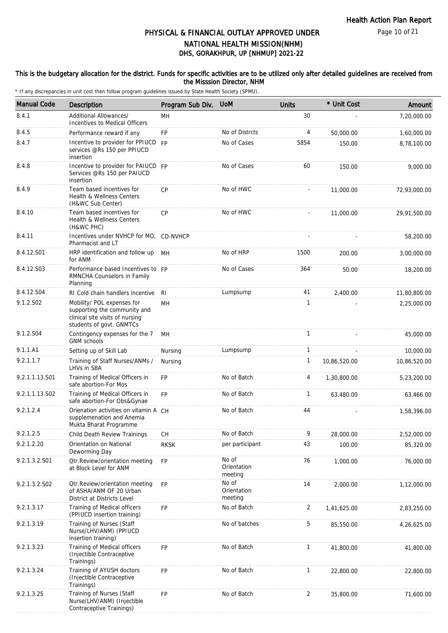Page 10 of 21

# DHS, GORAKHPUR, UP [NHMUP] 2021-22 PHYSICAL & FINANCIAL OUTLAY APPROVED UNDER NATIONAL HEALTH MISSION(NHM)

### This is the budgetary allocation for the district. Funds for specific activities are to be utilized only after detailed guidelines are received from the Misssion Director, NHM

| <b>Manual Code</b> | <b>Description</b>                                                                                                        | Program Sub Div. | <b>UoM</b>                      | <b>Units</b>   | * Unit Cost  | Amount       |
|--------------------|---------------------------------------------------------------------------------------------------------------------------|------------------|---------------------------------|----------------|--------------|--------------|
| 8.4.1              | Additional Allowances/<br>Incentives to Medical Officers                                                                  | MН               |                                 | 30             |              | 7,20,000.00  |
| 8.4.5              | Performance reward if any                                                                                                 | <b>FP</b>        | No of Distrcts                  | 4              | 50,000.00    | 1,60,000.00  |
| 8.4.7              | Incentive to provider for PPIUCD FP<br>services @Rs 150 per PPIUCD<br>insertion                                           |                  | No of Cases                     | 5854           | 150.00       | 8,78,100.00  |
| 8.4.8              | Incentive to provider for PAIUCD FP<br>Services @Rs 150 per PAIUCD<br>insertion                                           |                  | No of Cases                     | 60             | 150.00       | 9,000.00     |
| 8.4.9              | Team based incentives for<br><b>Health &amp; Wellness Centers</b><br>(H&WC Sub Center)                                    | <b>CP</b>        | No of HWC                       |                | 11,000.00    | 72,93,000.00 |
| 8.4.10             | Team based incentives for<br>Health & Wellness Centers<br>(H&WC PHC)                                                      | CP               | No of HWC                       |                | 11,000.00    | 29,91,500.00 |
| 8.4.11             | Incentives under NVHCP for MO, CD-NVHCP<br>Pharmacist and LT                                                              |                  |                                 |                |              | 58,200.00    |
| 8.4.12.S01         | HRP identification and follow up<br>for ANM                                                                               | MН               | No of HRP                       | 1500           | 200.00       | 3,00,000.00  |
| 8.4.12.S03         | Performance based Incentives to FP<br>RMNCHA Counselors in Family<br>Planning                                             |                  | No of Cases                     | 364            | 50.00        | 18,200.00    |
| 8.4.12.S04         | RI Cold chain handlers incentive                                                                                          | <b>RI</b>        | Lumpsump                        | 41             | 2,400.00     | 11,80,800.00 |
| 9.1.2.S02          | Mobility/ POL expenses for<br>supporting the community and<br>clinical site visits of nursing<br>students of govt. GNMTCs | MН               |                                 | 1              |              | 2,25,000.00  |
| 9.1.2.S04          | Contingency expenses for the 7<br><b>GNM schools</b>                                                                      | MН               |                                 | $\mathbf{1}$   |              | 45,000.00    |
| 9.1.1.A1           | Setting up of Skill Lab                                                                                                   | Nursing          | Lumpsump                        | $\mathbf{1}$   |              | 10,000.00    |
| 9.2.1.1.7          | Training of Staff Nurses/ANMs /<br>LHVs in SBA                                                                            | Nursing          |                                 | $\mathbf{1}$   | 10,86,520.00 | 10,86,520.00 |
| 9.2.1.1.13.S01     | Training of Medical Officers in<br>safe abortion-For Mos                                                                  | <b>FP</b>        | No of Batch                     | 4              | 1,30,800.00  | 5,23,200.00  |
| 9.2.1.1.13.S02     | Training of Medical Officers in<br>safe abortion-For Obs&Gynae                                                            | <b>FP</b>        | No of Batch                     | 1              | 63,480.00    | 63,466.00    |
| 9.2.1.2.4          | Orienation activities on vitamin A CH<br>supplemenation and Anemia<br>Mukta Bharat Programme                              |                  | No of Batch                     | 44             |              | 1,58,396.00  |
| 9.2.1.2.5          | Child Death Review Trainings                                                                                              | CH               | No of Batch                     | 9              | 28,000.00    | 2,52,000.00  |
| 9.2.1.2.20         | Orientation on National<br>Deworming Day                                                                                  | <b>RKSK</b>      | per participant                 | 43             | 100.00       | 85,320.00    |
| 9.2.1.3.2.S01      | Otr.Review/orientation meeting<br>at Block Level for ANM                                                                  | FP               | No of<br>Orientation<br>meeting | 76             | 1,000.00     | 76,000.00    |
| 9.2.1.3.2.S02      | Otr.Review/orientation meeting<br>of ASHA/ANM OF 20 Urban<br>District at Districts Level                                  | <b>FP</b>        | No of<br>Orientation<br>meeting | 14             | 2,000.00     | 1,12,000.00  |
| 9.2.1.3.17         | Training of Medical officers<br>(PPIUCD insertion training)                                                               | <b>FP</b>        | No of Batch                     | $\overline{2}$ | 1,41,625.00  | 2,83,250.00  |
| 9.2.1.3.19         | Training of Nurses (Staff<br>Nurse/LHV/ANM) (PPIUCD<br>insertion training)                                                |                  | No of batches                   | 5              | 85,550.00    | 4,26,625.00  |
| 9.2.1.3.23         | Training of Medical officers<br>(Injectible Contraceptive<br>Trainings)                                                   | <b>FP</b>        | No of Batch                     | 1              | 41,800.00    | 41,800.00    |
| 9.2.1.3.24         | Training of AYUSH doctors<br>(Injectible Contraceptive<br>Trainings)                                                      | <b>FP</b>        | No of Batch                     | 1              | 22,800.00    | 22,800.00    |
| 9.2.1.3.25         | Training of Nurses (Staff<br>Nurse/LHV/ANM) (Injectible<br>Contraceptive Trainings)                                       | FP               | No of Batch                     | 2              | 35,800.00    | 71,600.00    |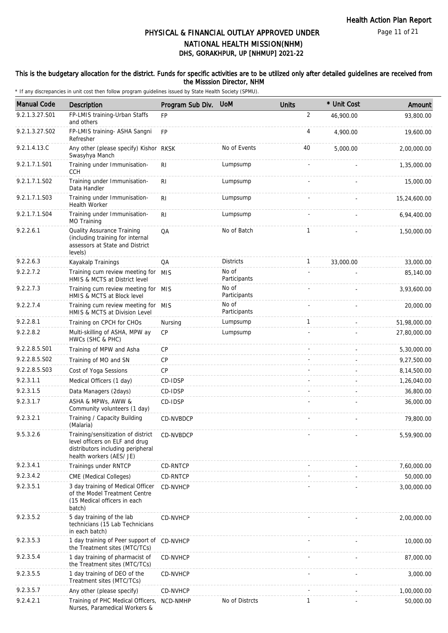### This is the budgetary allocation for the district. Funds for specific activities are to be utilized only after detailed guidelines are received from the Misssion Director, NHM

| <b>Manual Code</b> | Description                                                                                                                           | Program Sub Div. | <b>UoM</b>            | <b>Units</b>   | * Unit Cost | Amount       |
|--------------------|---------------------------------------------------------------------------------------------------------------------------------------|------------------|-----------------------|----------------|-------------|--------------|
| 9.2.1.3.27.S01     | FP-LMIS training-Urban Staffs<br>and others                                                                                           | FP               |                       | $\overline{2}$ | 46,900.00   | 93,800.00    |
| 9.2.1.3.27.S02     | FP-LMIS training- ASHA Sangni<br>Refresher                                                                                            | <b>FP</b>        |                       | 4              | 4,900.00    | 19,600.00    |
| 9.2.1.4.13.C       | Any other (please specify) Kishor RKSK<br>Swasyhya Manch                                                                              |                  | No of Events          | 40             | 5,000.00    | 2,00,000.00  |
| 9.2.1.7.1.S01      | Training under Immunisation-<br><b>CCH</b>                                                                                            | R <sub>l</sub>   | Lumpsump              |                |             | 1,35,000.00  |
| 9.2.1.7.1.S02      | Training under Immunisation-<br>Data Handler                                                                                          | R <sub>l</sub>   | Lumpsump              |                |             | 15,000.00    |
| 9.2.1.7.1.S03      | Training under Immunisation-<br>Health Worker                                                                                         | R <sub>l</sub>   | Lumpsump              |                |             | 15,24,600.00 |
| 9.2.1.7.1.S04      | Training under Immunisation-<br>MO Training                                                                                           | R <sub>l</sub>   | Lumpsump              |                |             | 6,94,400.00  |
| 9.2.2.6.1          | Quality Assurance Training<br>(including training for internal<br>assessors at State and District<br>levels)                          | QA               | No of Batch           | 1              |             | 1,50,000.00  |
| 9.2.2.6.3          | Kayakalp Trainings                                                                                                                    | QA               | <b>Districts</b>      | $\mathbf{1}$   | 33,000.00   | 33,000.00    |
| 9.2.2.7.2          | Training cum review meeting for MIS<br>HMIS & MCTS at District level                                                                  |                  | No of<br>Participants |                |             | 85,140.00    |
| 9.2.2.7.3          | Training cum review meeting for MIS<br>HMIS & MCTS at Block level                                                                     |                  | No of<br>Participants |                |             | 3,93,600.00  |
| 9.2.2.7.4          | Training cum review meeting for MIS<br>HMIS & MCTS at Division Level                                                                  |                  | No of<br>Participants |                |             | 20,000.00    |
| 9.2.2.8.1          | Training on CPCH for CHOs                                                                                                             | Nursing          | Lumpsump              | $\mathbf{1}$   |             | 51,98,000.00 |
| 9.2.2.8.2          | Multi-skilling of ASHA, MPW ay<br>HWCs (SHC & PHC)                                                                                    | <b>CP</b>        | Lumpsump              |                |             | 27,80,000.00 |
| 9.2.2.8.5.S01      | Training of MPW and Asha                                                                                                              | <b>CP</b>        |                       |                |             | 5,30,000.00  |
| 9.2.2.8.5.S02      | Training of MO and SN                                                                                                                 | СP               |                       |                |             | 9,27,500.00  |
| 9.2.2.8.5.S03      | Cost of Yoga Sessions                                                                                                                 | <b>CP</b>        |                       |                |             | 8,14,500.00  |
| 9.2.3.1.1          | Medical Officers (1 day)                                                                                                              | CD-IDSP          |                       |                |             | 1,26,040.00  |
| 9.2.3.1.5          | Data Managers (2days)                                                                                                                 | CD-IDSP          |                       |                |             | 36,800.00    |
| 9.2.3.1.7          | ASHA & MPWs, AWW &<br>Community volunteers (1 day)                                                                                    | CD-IDSP          |                       |                |             | 36,000.00    |
| 9.2.3.2.1          | Training / Capacity Building<br>(Malaria)                                                                                             | CD-NVBDCP        |                       |                |             | 79,800.00    |
| 9.5.3.2.6          | Training/sensitization of district<br>level officers on ELF and drug<br>distributors including peripheral<br>health workers (AES/ JE) | CD-NVBDCP        |                       |                |             | 5,59,900.00  |
| 9.2.3.4.1          | Trainings under RNTCP                                                                                                                 | CD-RNTCP         |                       |                |             | 7,60,000.00  |
| 9.2.3.4.2          | CME (Medical Colleges)                                                                                                                | CD-RNTCP         |                       |                |             | 50,000.00    |
| 9.2.3.5.1          | 3 day training of Medical Officer<br>of the Model Treatment Centre<br>(15 Medical officers in each<br>batch)                          | CD-NVHCP         |                       |                |             | 3,00,000.00  |
| 9.2.3.5.2          | 5 day training of the lab<br>technicians (15 Lab Technicians<br>in each batch)                                                        | CD-NVHCP         |                       |                |             | 2,00,000.00  |
| 9.2.3.5.3          | 1 day training of Peer support of CD-NVHCP<br>the Treatment sites (MTC/TCs)                                                           |                  |                       |                |             | 10,000.00    |
| 9.2.3.5.4          | 1 day training of pharmacist of<br>the Treatment sites (MTC/TCs)                                                                      | CD-NVHCP         |                       |                |             | 87,000.00    |
| 9.2.3.5.5          | 1 day training of DEO of the<br>Treatment sites (MTC/TCs)                                                                             | CD-NVHCP         |                       |                |             | 3,000.00     |
| 9.2.3.5.7          | Any other (please specify)                                                                                                            | CD-NVHCP         |                       |                |             | 1,00,000.00  |
| 9.2.4.2.1          | Training of PHC Medical Officers,<br>Nurses, Paramedical Workers &                                                                    | NCD-NMHP         | No of Distrcts        | 1              |             | 50,000.00    |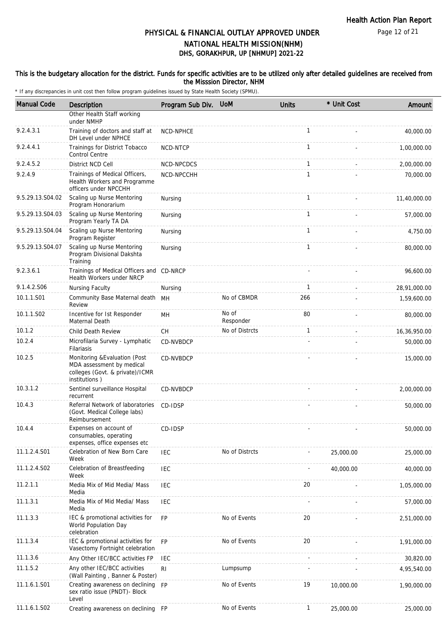#### This is the budgetary allocation for the district. Funds for specific activities are to be utilized only after detailed guidelines are received from the Misssion Director, NHM

| <b>Manual Code</b> | <b>Description</b>                                                                                             | Program Sub Div. | <b>UoM</b>         | <b>Units</b> | * Unit Cost | Amount       |
|--------------------|----------------------------------------------------------------------------------------------------------------|------------------|--------------------|--------------|-------------|--------------|
|                    | Other Health Staff working<br>under NMHP                                                                       |                  |                    |              |             |              |
| 9.2.4.3.1          | Training of doctors and staff at<br>DH Level under NPHCE                                                       | NCD-NPHCE        |                    | $\mathbf{1}$ |             | 40,000.00    |
| 9.2.4.4.1          | Trainings for District Tobacco<br><b>Control Centre</b>                                                        | NCD-NTCP         |                    | $\mathbf{1}$ |             | 1,00,000.00  |
| 9.2.4.5.2          | District NCD Cell                                                                                              | NCD-NPCDCS       |                    | $\mathbf{1}$ |             | 2,00,000.00  |
| 9.2.4.9            | Trainings of Medical Officers,<br>Health Workers and Programme<br>officers under NPCCHH                        | NCD-NPCCHH       |                    | $\mathbf{1}$ |             | 70,000.00    |
| 9.5.29.13.S04.02   | Scaling up Nurse Mentoring<br>Program Honorarium                                                               | Nursing          |                    | $\mathbf{1}$ |             | 11,40,000.00 |
| 9.5.29.13.S04.03   | Scaling up Nurse Mentoring<br>Program Yearly TA DA                                                             | Nursing          |                    | $\mathbf{1}$ |             | 57,000.00    |
| 9.5.29.13.S04.04   | Scaling up Nurse Mentoring<br>Program Register                                                                 | Nursing          |                    | $\mathbf{1}$ |             | 4,750.00     |
| 9.5.29.13.S04.07   | Scaling up Nurse Mentoring<br>Program Divisional Dakshta<br>Training                                           | Nursing          |                    | 1            |             | 80,000.00    |
| 9.2.3.6.1          | Trainings of Medical Officers and CD-NRCP<br>Health Workers under NRCP                                         |                  |                    |              |             | 96,600.00    |
| 9.1.4.2.S06        | Nursing Faculty                                                                                                | Nursing          |                    | $\mathbf{1}$ |             | 28,91,000.00 |
| 10.1.1.S01         | Community Base Maternal death<br>Review                                                                        | MН               | No of CBMDR        | 266          |             | 1,59,600.00  |
| 10.1.1.S02         | Incentive for Ist Responder<br>Maternal Death                                                                  | MН               | No of<br>Responder | 80           |             | 80,000.00    |
| 10.1.2             | Child Death Review                                                                                             | <b>CH</b>        | No of Distrcts     | $\mathbf{1}$ |             | 16,36,950.00 |
| 10.2.4             | Microfilaria Survey - Lymphatic<br>Filariasis                                                                  | CD-NVBDCP        |                    |              |             | 50,000.00    |
| 10.2.5             | Monitoring & Evaluation (Post<br>MDA assessment by medical<br>colleges (Govt. & private)/ICMR<br>institutions) | CD-NVBDCP        |                    |              |             | 15,000.00    |
| 10.3.1.2           | Sentinel surveillance Hospital<br>recurrent                                                                    | CD-NVBDCP        |                    |              |             | 2,00,000.00  |
| 10.4.3             | Referral Network of laboratories<br>(Govt. Medical College labs)<br>Reimbursement                              | CD-IDSP          |                    |              |             | 50,000.00    |
| 10.4.4             | Expenses on account of<br>consumables, operating<br>expenses, office expenses etc                              | CD-IDSP          |                    |              |             | 50,000.00    |
| 11.1.2.4.S01       | Celebration of New Born Care<br>Week                                                                           | <b>IEC</b>       | No of Distrcts     |              | 25,000.00   | 25,000.00    |
| 11.1.2.4.S02       | Celebration of Breastfeeding<br>Week                                                                           | <b>IEC</b>       |                    |              | 40,000.00   | 40,000.00    |
| 11.2.1.1           | Media Mix of Mid Media/ Mass<br>Media                                                                          | IEC              |                    | 20           |             | 1,05,000.00  |
| 11.1.3.1           | Media Mix of Mid Media/ Mass<br>Media                                                                          | IEC              |                    |              |             | 57,000.00    |
| 11.1.3.3           | IEC & promotional activities for<br>World Population Day<br>celebration                                        | <b>FP</b>        | No of Events       | 20           |             | 2,51,000.00  |
| 11.1.3.4           | IEC & promotional activities for<br>Vasectomy Fortnight celebration                                            | <b>FP</b>        | No of Events       | 20           |             | 1,91,000.00  |
| 11.1.3.6           | Any Other IEC/BCC activities FP                                                                                | IEC              |                    |              |             | 30,820.00    |
| 11.1.5.2           | Any other IEC/BCC activities<br>(Wall Painting, Banner & Poster)                                               | RI               | Lumpsump           |              |             | 4,95,540.00  |
| 11.1.6.1.S01       | Creating awareness on declining<br>sex ratio issue (PNDT)- Block<br>Level                                      | <b>FP</b>        | No of Events       | 19           | 10,000.00   | 1,90,000.00  |
| 11.1.6.1.S02       | Creating awareness on declining                                                                                | - FP             | No of Events       | $\mathbf{1}$ | 25,000.00   | 25,000.00    |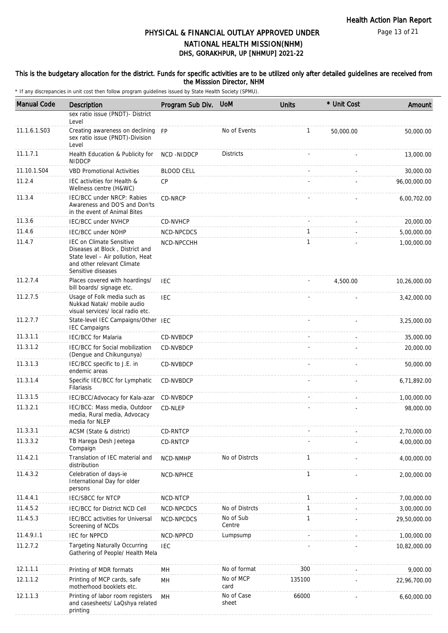#### This is the budgetary allocation for the district. Funds for specific activities are to be utilized only after detailed guidelines are received from the Misssion Director, NHM

| <b>Manual Code</b> | Description                                                                                                                                                 | Program Sub Div.  | <b>UoM</b>          | <b>Units</b> | * Unit Cost | Amount       |
|--------------------|-------------------------------------------------------------------------------------------------------------------------------------------------------------|-------------------|---------------------|--------------|-------------|--------------|
|                    | sex ratio issue (PNDT)- District<br>Level                                                                                                                   |                   |                     |              |             |              |
| 11.1.6.1.S03       | Creating awareness on declining<br>sex ratio issue (PNDT)-Division<br>Level                                                                                 | <b>FP</b>         | No of Events        | 1            | 50,000.00   | 50,000.00    |
| 11.1.7.1           | Health Education & Publicity for<br><b>NIDDCP</b>                                                                                                           | NCD -NIDDCP       | <b>Districts</b>    |              |             | 13,000.00    |
| 11.10.1.S04        | <b>VBD Promotional Activities</b>                                                                                                                           | <b>BLOOD CELL</b> |                     |              |             | 30,000.00    |
| 11.2.4             | IEC activities for Health &<br>Wellness centre (H&WC)                                                                                                       | <b>CP</b>         |                     |              |             | 96,00,000.00 |
| 11.3.4             | IEC/BCC under NRCP: Rabies<br>Awareness and DO'S and Don'ts<br>in the event of Animal Bites                                                                 | CD-NRCP           |                     |              |             | 6,00,702.00  |
| 11.3.6             | <b>IEC/BCC under NVHCP</b>                                                                                                                                  | CD-NVHCP          |                     |              |             | 20,000.00    |
| 11.4.6             | <b>IEC/BCC under NOHP</b>                                                                                                                                   | NCD-NPCDCS        |                     | $\mathbf{1}$ |             | 5,00,000.00  |
| 11.4.7             | <b>IEC on Climate Sensitive</b><br>Diseases at Block, District and<br>State level - Air pollution, Heat<br>and other relevant Climate<br>Sensitive diseases | NCD-NPCCHH        |                     | $\mathbf{1}$ |             | 1,00,000.00  |
| 11.2.7.4           | Places covered with hoardings/<br>bill boards/ signage etc.                                                                                                 | IEC               |                     |              | 4,500.00    | 10,26,000.00 |
| 11.2.7.5           | Usage of Folk media such as<br>Nukkad Natak/ mobile audio<br>visual services/ local radio etc.                                                              | IEC               |                     |              |             | 3,42,000.00  |
| 11.2.7.7           | State-level IEC Campaigns/Other IEC<br><b>IEC Campaigns</b>                                                                                                 |                   |                     |              |             | 3,25,000.00  |
| 11.3.1.1           | <b>IEC/BCC</b> for Malaria                                                                                                                                  | CD-NVBDCP         |                     |              |             | 35,000.00    |
| 11.3.1.2           | IEC/BCC for Social mobilization<br>(Dengue and Chikungunya)                                                                                                 | CD-NVBDCP         |                     |              |             | 20,000.00    |
| 11.3.1.3           | IEC/BCC specific to J.E. in<br>endemic areas                                                                                                                | CD-NVBDCP         |                     |              |             | 50,000.00    |
| 11.3.1.4           | Specific IEC/BCC for Lymphatic<br>Filariasis                                                                                                                | CD-NVBDCP         |                     |              |             | 6,71,892.00  |
| 11.3.1.5           | IEC/BCC/Advocacy for Kala-azar                                                                                                                              | CD-NVBDCP         |                     |              |             | 1,00,000.00  |
| 11.3.2.1           | IEC/BCC: Mass media, Outdoor<br>media, Rural media, Advocacy<br>media for NLEP                                                                              | CD-NLEP           |                     |              |             | 98,000.00    |
| 11.3.3.1           | ACSM (State & district)                                                                                                                                     | CD-RNTCP          |                     |              |             | 2,70,000.00  |
| 11.3.3.2           | TB Harega Desh Jeetega<br>Compaign                                                                                                                          | CD-RNTCP          |                     |              |             | 4,00,000.00  |
| 11.4.2.1           | Translation of IEC material and<br>distribution                                                                                                             | NCD-NMHP          | No of Distrcts      | $\mathbf{1}$ |             | 4,00,000.00  |
| 11.4.3.2           | Celebration of days-ie<br>International Day for older<br>persons                                                                                            | NCD-NPHCE         |                     | $\mathbf{1}$ |             | 2,00,000.00  |
| 11.4.4.1           | <b>IEC/SBCC for NTCP</b>                                                                                                                                    | NCD-NTCP          |                     | $\mathbf{1}$ |             | 7,00,000.00  |
| 11.4.5.2           | IEC/BCC for District NCD Cell                                                                                                                               | NCD-NPCDCS        | No of Distrcts      | $\mathbf{1}$ |             | 3,00,000.00  |
| 11.4.5.3           | IEC/BCC activities for Universal<br>Screening of NCDs                                                                                                       | NCD-NPCDCS        | No of Sub<br>Centre | $\mathbf{1}$ |             | 29,50,000.00 |
| 11.4.9.1.1         | <b>IEC for NPPCD</b>                                                                                                                                        | NCD-NPPCD         | Lumpsump            |              |             | 1,00,000.00  |
| 11.2.7.2           | <b>Targeting Naturally Occurring</b><br>Gathering of People/ Health Mela                                                                                    | <b>IEC</b>        |                     |              |             | 10,82,000.00 |
| 12.1.1.1           | Printing of MDR formats                                                                                                                                     | MН                | No of format        | 300          |             | 9,000.00     |
| 12.1.1.2           | Printing of MCP cards, safe<br>motherhood booklets etc.                                                                                                     | MН                | No of MCP<br>card   | 135100       |             | 22,96,700.00 |
| 12.1.1.3           | Printing of labor room registers<br>and casesheets/ LaQshya related<br>printing                                                                             | MH                | No of Case<br>sheet | 66000        |             | 6,60,000.00  |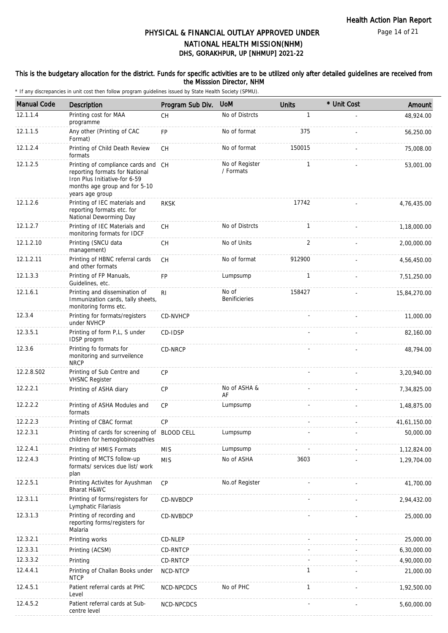### This is the budgetary allocation for the district. Funds for specific activities are to be utilized only after detailed guidelines are received from the Misssion Director, NHM

| <b>Manual Code</b> | <b>Description</b>                                                                                                                                         | Program Sub Div. | <b>UoM</b>                    | <b>Units</b> | * Unit Cost | Amount       |
|--------------------|------------------------------------------------------------------------------------------------------------------------------------------------------------|------------------|-------------------------------|--------------|-------------|--------------|
| 12.1.1.4           | Printing cost for MAA<br>programme                                                                                                                         | <b>CH</b>        | No of Distrcts                | 1            |             | 48,924.00    |
| 12.1.1.5           | Any other (Printing of CAC<br>Format)                                                                                                                      | FP               | No of format                  | 375          |             | 56,250.00    |
| 12.1.2.4           | Printing of Child Death Review<br>formats                                                                                                                  | <b>CH</b>        | No of format                  | 150015       |             | 75,008.00    |
| 12.1.2.5           | Printing of compliance cards and CH<br>reporting formats for National<br>Iron Plus Initiative-for 6-59<br>months age group and for 5-10<br>years age group |                  | No of Register<br>/ Formats   | $\mathbf{1}$ |             | 53,001.00    |
| 12.1.2.6           | Printing of IEC materials and<br>reporting formats etc. for<br>National Deworming Day                                                                      | <b>RKSK</b>      |                               | 17742        |             | 4,76,435.00  |
| 12.1.2.7           | Printing of IEC Materials and<br>monitoring formats for IDCF                                                                                               | CH               | No of Distrcts                | $\mathbf{1}$ |             | 1,18,000.00  |
| 12.1.2.10          | Printing (SNCU data<br>management)                                                                                                                         | CH               | No of Units                   | 2            |             | 2,00,000.00  |
| 12.1.2.11          | Printing of HBNC referral cards<br>and other formats                                                                                                       | <b>CH</b>        | No of format                  | 912900       |             | 4,56,450.00  |
| 12.1.3.3           | Printing of FP Manuals,<br>Guidelines, etc.                                                                                                                | FP               | Lumpsump                      | $\mathbf{1}$ |             | 7,51,250.00  |
| 12.1.6.1           | Printing and dissemination of<br>Immunization cards, tally sheets,<br>monitoring forms etc.                                                                | R <sub>l</sub>   | No of<br><b>Benificieries</b> | 158427       |             | 15,84,270.00 |
| 12.3.4             | Printing for formats/registers<br>under NVHCP                                                                                                              | CD-NVHCP         |                               |              |             | 11,000.00    |
| 12.3.5.1           | Printing of form P,L, S under<br>IDSP progrm                                                                                                               | CD-IDSP          |                               |              |             | 82,160.00    |
| 12.3.6             | Printing fo formats for<br>monitoring and surrveilence<br><b>NRCP</b>                                                                                      | CD-NRCP          |                               |              |             | 48,794.00    |
| 12.2.8.S02         | Printing of Sub Centre and<br><b>VHSNC Register</b>                                                                                                        | CP               |                               |              |             | 3,20,940.00  |
| 12.2.2.1           | Printing of ASHA diary                                                                                                                                     | <b>CP</b>        | No of ASHA &<br>AF            |              |             | 7,34,825.00  |
| 12.2.2.2           | Printing of ASHA Modules and<br>formats                                                                                                                    | CP               | Lumpsump                      |              |             | 1,48,875.00  |
| 12.2.2.3           | Printing of CBAC format                                                                                                                                    | CP               |                               |              |             | 41,61,150.00 |
| 12.2.3.1           | Printing of cards for screening of BLOOD CELL<br>children for hemoglobinopathies                                                                           |                  | Lumpsump                      |              |             | 50,000.00    |
| 12.2.4.1           | Printing of HMIS Formats                                                                                                                                   | <b>MIS</b>       | Lumpsump                      |              |             | 1,12,824.00  |
| 12.2.4.3           | Printing of MCTS follow-up<br>formats/ services due list/ work<br>plan                                                                                     | <b>MIS</b>       | No of ASHA                    | 3603         |             | 1,29,704.00  |
| 12.2.5.1           | Printing Activites for Ayushman<br>Bharat H&WC                                                                                                             | CP               | No.of Register                |              |             | 41,700.00    |
| 12.3.1.1           | Printing of forms/registers for<br>Lymphatic Filariasis                                                                                                    | CD-NVBDCP        |                               |              |             | 2,94,432.00  |
| 12.3.1.3           | Printing of recording and<br>reporting forms/registers for<br>Malaria                                                                                      | CD-NVBDCP        |                               |              |             | 25,000.00    |
| 12.3.2.1           | Printing works                                                                                                                                             | CD-NLEP          |                               |              |             | 25,000.00    |
| 12.3.3.1           | Printing (ACSM)                                                                                                                                            | <b>CD-RNTCP</b>  |                               |              |             | 6,30,000.00  |
| 12.3.3.2           | Printing                                                                                                                                                   | CD-RNTCP         |                               |              |             | 4,90,000.00  |
| 12.4.4.1           | Printing of Challan Books under<br><b>NTCP</b>                                                                                                             | NCD-NTCP         |                               | $\mathbf{1}$ |             | 21,000.00    |
| 12.4.5.1           | Patient referral cards at PHC<br>Level                                                                                                                     | NCD-NPCDCS       | No of PHC                     | $\mathbf{1}$ |             | 1,92,500.00  |
| 12.4.5.2           | Patient referral cards at Sub-<br>centre level                                                                                                             | NCD-NPCDCS       |                               |              |             | 5,60,000.00  |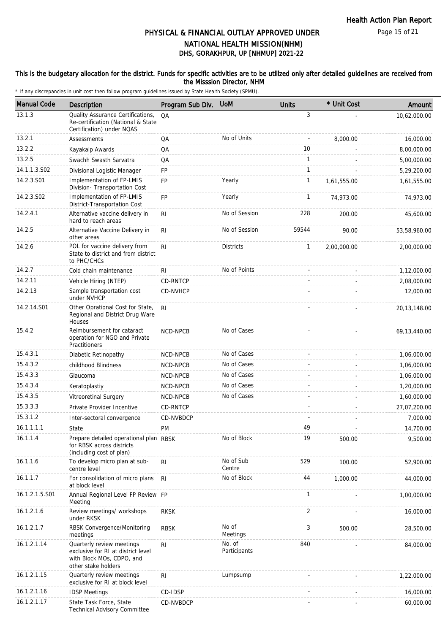Page 15 of 21

## DHS, GORAKHPUR, UP [NHMUP] 2021-22 PHYSICAL & FINANCIAL OUTLAY APPROVED UNDER NATIONAL HEALTH MISSION(NHM)

#### This is the budgetary allocation for the district. Funds for specific activities are to be utilized only after detailed guidelines are received from the Misssion Director, NHM

| <b>Manual Code</b> | <b>Description</b>                                                                                                  | Program Sub Div. | <b>UoM</b>             | <b>Units</b>   | * Unit Cost | Amount         |
|--------------------|---------------------------------------------------------------------------------------------------------------------|------------------|------------------------|----------------|-------------|----------------|
| 13.1.3             | Quality Assurance Certifications,<br>Re-certification (National & State<br>Certification) under NQAS                | QA               |                        | 3              |             | 10,62,000.00   |
| 13.2.1             | Assessments                                                                                                         | QA               | No of Units            | $\overline{a}$ | 8,000.00    | 16,000.00      |
| 13.2.2             | Kayakalp Awards                                                                                                     | QA               |                        | 10             |             | 8,00,000.00    |
| 13.2.5             | Swachh Swasth Sarvatra                                                                                              | QA               |                        | $\mathbf{1}$   |             | 5,00,000.00    |
| 14.1.1.3.S02       | Divisional Logistic Manager                                                                                         | <b>FP</b>        |                        | $\mathbf{1}$   |             | 5,29,200.00    |
| 14.2.3.S01         | Implementation of FP-LMIS<br>Division- Transportation Cost                                                          | <b>FP</b>        | Yearly                 | 1              | 1,61,555.00 | 1,61,555.00    |
| 14.2.3.S02         | Implementation of FP-LMIS<br>District-Transportation Cost                                                           | <b>FP</b>        | Yearly                 | $\mathbf{1}$   | 74,973.00   | 74,973.00      |
| 14.2.4.1           | Alternative vaccine delivery in<br>hard to reach areas                                                              | R <sub>l</sub>   | No of Session          | 228            | 200.00      | 45,600.00      |
| 14.2.5             | Alternative Vaccine Delivery in<br>other areas                                                                      | RI.              | No of Session          | 59544          | 90.00       | 53,58,960.00   |
| 14.2.6             | POL for vaccine delivery from<br>State to district and from district<br>to PHC/CHCs                                 | R <sub>l</sub>   | <b>Districts</b>       | 1              | 2,00,000.00 | 2,00,000.00    |
| 14.2.7             | Cold chain maintenance                                                                                              | R <sub>l</sub>   | No of Points           |                |             | 1,12,000.00    |
| 14.2.11            | Vehicle Hiring (NTEP)                                                                                               | <b>CD-RNTCP</b>  |                        |                |             | 2,08,000.00    |
| 14.2.13            | Sample transportation cost<br>under NVHCP                                                                           | CD-NVHCP         |                        |                |             | 12,000.00      |
| 14.2.14.S01        | Other Oprational Cost for State,<br>Regional and District Drug Ware<br>Houses                                       | R <sub>l</sub>   |                        |                |             | 20,13,148.00   |
| 15.4.2             | Reimbursement for cataract<br>operation for NGO and Private<br>Practitioners                                        | NCD-NPCB         | No of Cases            |                |             | 69, 13, 440.00 |
| 15.4.3.1           | Diabetic Retinopathy                                                                                                | NCD-NPCB         | No of Cases            |                |             | 1,06,000.00    |
| 15.4.3.2           | childhood Blindness                                                                                                 | NCD-NPCB         | No of Cases            |                |             | 1,06,000.00    |
| 15.4.3.3           | Glaucoma                                                                                                            | <b>NCD-NPCB</b>  | No of Cases            |                |             | 1,06,000.00    |
| 15.4.3.4           | Keratoplastiy                                                                                                       | NCD-NPCB         | No of Cases            |                |             | 1,20,000.00    |
| 15.4.3.5           | Vitreoretinal Surgery                                                                                               | NCD-NPCB         | No of Cases            |                |             | 1,60,000.00    |
| 15.3.3.3           | Private Provider Incentive                                                                                          | <b>CD-RNTCP</b>  |                        |                |             | 27,07,200.00   |
| 15.3.1.2           | Inter-sectoral convergence                                                                                          | CD-NVBDCP        |                        |                |             | 7,000.00       |
| 16.1.1.1.1         | State                                                                                                               | PM               |                        | 49             |             | 14,700.00      |
| 16.1.1.4           | Prepare detailed operational plan RBSK<br>for RBSK across districts<br>(including cost of plan)                     |                  | No of Block            | 19             | 500.00      | 9,500.00       |
| 16.1.1.6           | To develop micro plan at sub-<br>centre level                                                                       | R <sub>l</sub>   | No of Sub<br>Centre    | 529            | 100.00      | 52,900.00      |
| 16.1.1.7           | For consolidation of micro plans<br>at block level                                                                  | -RI              | No of Block            | 44             | 1,000.00    | 44,000.00      |
| 16.1.2.1.5.S01     | Annual Regional Level FP Review FP<br>Meeting                                                                       |                  |                        | 1              |             | 1,00,000.00    |
| 16.1.2.1.6         | Review meetings/ workshops<br>under RKSK                                                                            | <b>RKSK</b>      |                        | 2              |             | 16,000.00      |
| 16.1.2.1.7         | RBSK Convergence/Monitoring<br>meetings                                                                             | <b>RBSK</b>      | No of<br>Meetings      | 3              | 500.00      | 28,500.00      |
| 16.1.2.1.14        | Quarterly review meetings<br>exclusive for RI at district level<br>with Block MOs, CDPO, and<br>other stake holders | RI               | No. of<br>Participants | 840            |             | 84,000.00      |
| 16.1.2.1.15        | Quarterly review meetings<br>exclusive for RI at block level                                                        | R <sub>l</sub>   | Lumpsump               |                |             | 1,22,000.00    |
| 16.1.2.1.16        | <b>IDSP Meetings</b>                                                                                                | CD-IDSP          |                        |                |             | 16,000.00      |
| 16.1.2.1.17        | State Task Force, State<br>Technical Advisory Committee                                                             | CD-NVBDCP        |                        |                |             | 60,000.00      |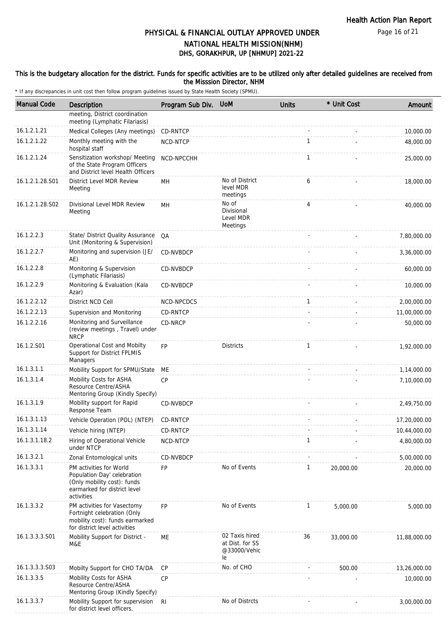#### This is the budgetary allocation for the district. Funds for specific activities are to be utilized only after detailed guidelines are received from the Misssion Director, NHM

| <b>Manual Code</b> | Description                                                                                                                         | Program Sub Div. UoM |                                                         | <b>Units</b> | * Unit Cost | Amount       |
|--------------------|-------------------------------------------------------------------------------------------------------------------------------------|----------------------|---------------------------------------------------------|--------------|-------------|--------------|
|                    | meeting, District coordination<br>meeting (Lymphatic Filariasis)                                                                    |                      |                                                         |              |             |              |
| 16.1.2.1.21        | Medical Colleges (Any meetings)                                                                                                     | CD-RNTCP             |                                                         |              |             | 10,000.00    |
| 16.1.2.1.22        | Monthly meeting with the<br>hospital staff                                                                                          | NCD-NTCP             |                                                         | 1            |             | 48,000.00    |
| 16.1.2.1.24        | Sensitization workshop/ Meeting<br>of the State Program Officers<br>and District level Health Officers                              | NCD-NPCCHH           |                                                         | 1            |             | 25,000.00    |
| 16.1.2.1.28.S01    | District Level MDR Review<br>Meeting                                                                                                | MH                   | No of District<br>level MDR<br>meetings                 | 6            |             | 18,000.00    |
| 16.1.2.1.28.S02    | Divisional Level MDR Review<br>Meeting                                                                                              | MН                   | No of<br>Divisional<br>Level MDR<br>Meetings            | 4            |             | 40,000.00    |
| 16.1.2.2.3         | State/ District Quality Assurance<br>Unit (Monitoring & Supervision)                                                                | QA                   |                                                         |              |             | 7,80,000.00  |
| 16.1.2.2.7         | Monitoring and supervision (JE/<br>AE)                                                                                              | CD-NVBDCP            |                                                         |              |             | 3,36,000.00  |
| 16.1.2.2.8         | Monitoring & Supervision<br>(Lymphatic Filariasis)                                                                                  | CD-NVBDCP            |                                                         |              |             | 60,000.00    |
| 16.1.2.2.9         | Monitoring & Evaluation (Kala<br>Azar)                                                                                              | <b>CD-NVBDCP</b>     |                                                         |              |             | 10,000.00    |
| 16.1.2.2.12        | District NCD Cell                                                                                                                   | NCD-NPCDCS           |                                                         | $\mathbf{1}$ |             | 2,00,000.00  |
| 16.1.2.2.13        | Supervision and Monitoring                                                                                                          | CD-RNTCP             |                                                         |              |             | 11,00,000.00 |
| 16.1.2.2.16        | Monitoring and Surveillance<br>(review meetings, Travel) under<br><b>NRCP</b>                                                       | CD-NRCP              |                                                         |              |             | 50,000.00    |
| 16.1.2.S01         | Operational Cost and Mobilty<br>Support for District FPLMIS<br>Managers                                                             | <b>FP</b>            | <b>Districts</b>                                        | $\mathbf{1}$ |             | 1,92,000.00  |
| 16.1.3.1.1         | Mobility Support for SPMU/State                                                                                                     | МE                   |                                                         |              |             | 1,14,000.00  |
| 16.1.3.1.4         | Mobility Costs for ASHA<br>Resource Centre/ASHA<br>Mentoring Group (Kindly Specify)                                                 | <b>CP</b>            |                                                         |              |             | 7,10,000.00  |
| 16.1.3.1.9         | Mobility support for Rapid<br>Response Team                                                                                         | CD-NVBDCP            |                                                         |              |             | 2,49,750.00  |
| 16.1.3.1.13        | Vehicle Operation (POL) (NTEP)                                                                                                      | CD-RNTCP             |                                                         |              |             | 17,20,000.00 |
| 16.1.3.1.14        | Vehicle hiring (NTEP)                                                                                                               | CD-RNTCP             |                                                         |              |             | 10,44,000.00 |
| 16.1.3.1.18.2      | Hiring of Operational Vehicle<br>under NTCP                                                                                         | NCD-NTCP             |                                                         | $\mathbf{1}$ |             | 4,80,000.00  |
| 16.1.3.2.1         | Zonal Entomological units                                                                                                           | CD-NVBDCP            |                                                         |              |             | 5,00,000.00  |
| 16.1.3.3.1         | PM activities for World<br>Population Day' celebration<br>(Only mobility cost): funds<br>earmarked for district level<br>activities | FP                   | No of Events                                            | $\mathbf{1}$ | 20,000.00   | 20,000.00    |
| 16.1.3.3.2         | PM activities for Vasectomy<br>Fortnight celebration (Only<br>mobility cost): funds earmarked<br>for district level activities      | FP                   | No of Events                                            | $\mathbf{1}$ | 5,000.00    | 5,000.00     |
| 16.1.3.3.3.S01     | Mobility Support for District -<br>M&E                                                                                              | МE                   | 02 Taxis hired<br>at Dist. for SS<br>@33000/Vehic<br>le | 36           | 33,000.00   | 11,88,000.00 |
| 16.1.3.3.3.S03     | Mobilty Support for CHO TA/DA                                                                                                       | CP                   | No. of CHO                                              |              | 500.00      | 13,26,000.00 |
| 16.1.3.3.5         | Mobility Costs for ASHA<br>Resource Centre/ASHA<br>Mentoring Group (Kindly Specify)                                                 | <b>CP</b>            |                                                         |              |             | 10,000.00    |
| 16.1.3.3.7         | Mobility Support for supervision<br>for district level officers.                                                                    | <b>RI</b>            | No of Distrcts                                          |              |             | 3,00,000.00  |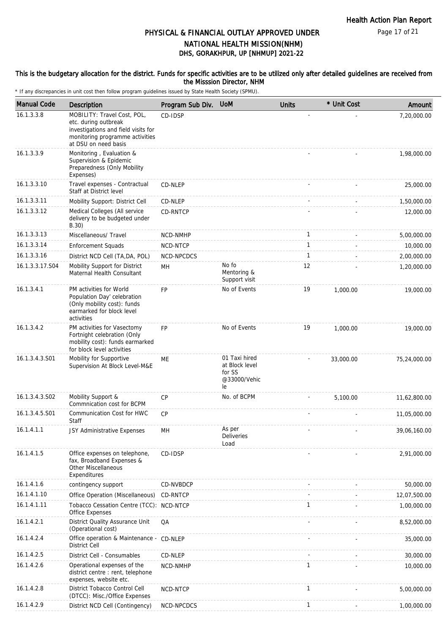Page 17 of 21

## DHS, GORAKHPUR, UP [NHMUP] 2021-22 PHYSICAL & FINANCIAL OUTLAY APPROVED UNDER NATIONAL HEALTH MISSION(NHM)

#### This is the budgetary allocation for the district. Funds for specific activities are to be utilized only after detailed guidelines are received from the Misssion Director, NHM

| <b>Manual Code</b> | Description                                                                                                                                           | Program Sub Div. | <b>UoM</b>                                                      | <b>Units</b> | * Unit Cost | Amount       |
|--------------------|-------------------------------------------------------------------------------------------------------------------------------------------------------|------------------|-----------------------------------------------------------------|--------------|-------------|--------------|
| 16.1.3.3.8         | MOBILITY: Travel Cost, POL,<br>etc. during outbreak<br>investigations and field visits for<br>monitoring programme activities<br>at DSU on need basis | CD-IDSP          |                                                                 |              |             | 7,20,000.00  |
| 16.1.3.3.9         | Monitoring, Evaluation &<br>Supervision & Epidemic<br>Preparedness (Only Mobility<br>Expenses)                                                        |                  |                                                                 |              |             | 1,98,000.00  |
| 16.1.3.3.10        | Travel expenses - Contractual<br>Staff at District level                                                                                              | CD-NLEP          |                                                                 |              |             | 25,000.00    |
| 16.1.3.3.11        | Mobility Support: District Cell                                                                                                                       | CD-NLEP          |                                                                 |              |             | 1,50,000.00  |
| 16.1.3.3.12        | Medical Colleges (All service<br>delivery to be budgeted under<br>B.30)                                                                               | CD-RNTCP         |                                                                 |              |             | 12,000.00    |
| 16.1.3.3.13        | Miscellaneous/ Travel                                                                                                                                 | NCD-NMHP         |                                                                 | $\mathbf{1}$ |             | 5,00,000.00  |
| 16.1.3.3.14        | <b>Enforcement Squads</b>                                                                                                                             | NCD-NTCP         |                                                                 | $\mathbf{1}$ |             | 10,000.00    |
| 16.1.3.3.16        | District NCD Cell (TA,DA, POL)                                                                                                                        | NCD-NPCDCS       |                                                                 | $\mathbf{1}$ |             | 2,00,000.00  |
| 16.1.3.3.17.S04    | Mobility Support for District<br>Maternal Health Consultant                                                                                           | MH               | No fo<br>Mentoring &<br>Support visit                           | 12           |             | 1,20,000.00  |
| 16.1.3.4.1         | PM activities for World<br>Population Day' celebration<br>(Only mobility cost): funds<br>earmarked for block level<br>activities                      | <b>FP</b>        | No of Events                                                    | 19           | 1,000.00    | 19,000.00    |
| 16.1.3.4.2         | PM activities for Vasectomy<br>Fortnight celebration (Only<br>mobility cost): funds earmarked<br>for block level activities                           | <b>FP</b>        | No of Events                                                    | 19           | 1,000.00    | 19,000.00    |
| 16.1.3.4.3.S01     | Mobility for Supportive<br>Supervision At Block Level-M&E                                                                                             | ME               | 01 Taxi hired<br>at Block level<br>for SS<br>@33000/Vehic<br>le |              | 33,000.00   | 75,24,000.00 |
| 16.1.3.4.3.S02     | Mobility Support &<br>Commnication cost for BCPM                                                                                                      | CP               | No. of BCPM                                                     |              | 5,100.00    | 11,62,800.00 |
| 16.1.3.4.5.S01     | Communication Cost for HWC<br>Staff                                                                                                                   | CP               |                                                                 |              |             | 11,05,000.00 |
| 16.1.4.1.1         | JSY Administrative Expenses                                                                                                                           | MH               | As per<br>Deliveries<br>Load                                    |              |             | 39,06,160.00 |
| 16.1.4.1.5         | Office expenses on telephone,<br>fax, Broadband Expenses &<br><b>Other Miscellaneous</b><br>Expenditures                                              | CD-IDSP          |                                                                 |              |             | 2,91,000.00  |
| 16.1.4.1.6         | contingency support                                                                                                                                   | CD-NVBDCP        |                                                                 |              |             | 50,000.00    |
| 16.1.4.1.10        | Office Operation (Miscellaneous)                                                                                                                      | CD-RNTCP         |                                                                 |              |             | 12,07,500.00 |
| 16.1.4.1.11        | Tobacco Cessation Centre (TCC): NCD-NTCP<br>Office Expenses                                                                                           |                  |                                                                 | $\mathbf{1}$ |             | 1,00,000.00  |
| 16.1.4.2.1         | District Quality Assurance Unit<br>(Operational cost)                                                                                                 | QA               |                                                                 |              |             | 8,52,000.00  |
| 16.1.4.2.4         | Office operation & Maintenance - CD-NLEP<br><b>District Cell</b>                                                                                      |                  |                                                                 |              |             | 35,000.00    |
| 16.1.4.2.5         | District Cell - Consumables                                                                                                                           | CD-NLEP          |                                                                 |              |             | 30,000.00    |
| 16.1.4.2.6         | Operational expenses of the<br>district centre : rent, telephone<br>expenses, website etc.                                                            | NCD-NMHP         |                                                                 | $\mathbf{1}$ |             | 10,000.00    |
| 16.1.4.2.8         | District Tobacco Control Cell<br>(DTCC): Misc./Office Expenses                                                                                        | NCD-NTCP         |                                                                 | $\mathbf{1}$ |             | 5,00,000.00  |
| 16.1.4.2.9         | District NCD Cell (Contingency)                                                                                                                       | NCD-NPCDCS       |                                                                 | $\mathbf{1}$ |             | 1,00,000.00  |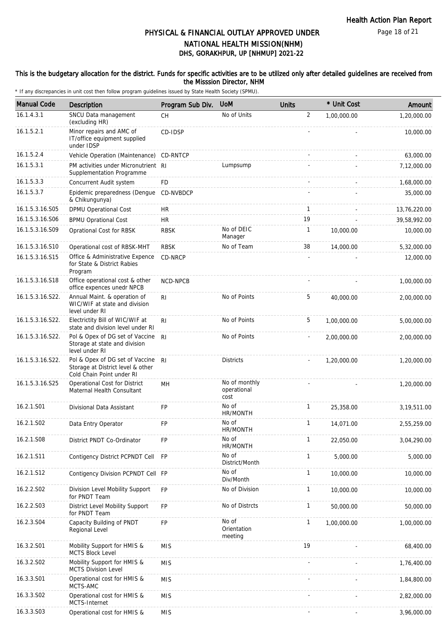Page 18 of 21

## DHS, GORAKHPUR, UP [NHMUP] 2021-22 PHYSICAL & FINANCIAL OUTLAY APPROVED UNDER NATIONAL HEALTH MISSION(NHM)

#### This is the budgetary allocation for the district. Funds for specific activities are to be utilized only after detailed guidelines are received from the Misssion Director, NHM

| <b>Manual Code</b> | Description                                                                                       | Program Sub Div. | <b>UoM</b>                           | <b>Units</b>   | * Unit Cost | Amount        |
|--------------------|---------------------------------------------------------------------------------------------------|------------------|--------------------------------------|----------------|-------------|---------------|
| 16.1.4.3.1         | SNCU Data management<br>(excluding HR)                                                            | <b>CH</b>        | No of Units                          | $\overline{2}$ | 1,00,000.00 | 1,20,000.00   |
| 16.1.5.2.1         | Minor repairs and AMC of<br>IT/office equipment supplied<br>under IDSP                            | CD-IDSP          |                                      |                |             | 10,000.00     |
| 16.1.5.2.4         | Vehicle Operation (Maintenance)                                                                   | CD-RNTCP         |                                      |                |             | 63,000.00     |
| 16.1.5.3.1         | PM activities under Micronutrient RI<br>Supplementation Programme                                 |                  | Lumpsump                             |                |             | 7,12,000.00   |
| 16.1.5.3.3         | Concurrent Audit system                                                                           | <b>FD</b>        |                                      |                |             | 1,68,000.00   |
| 16.1.5.3.7         | Epidemic preparedness (Dengue<br>& Chikungunya)                                                   | CD-NVBDCP        |                                      |                |             | 35,000.00     |
| 16.1.5.3.16.S05    | <b>DPMU Operational Cost</b>                                                                      | <b>HR</b>        |                                      | 1              |             | 13,76,220.00  |
| 16.1.5.3.16.S06    | <b>BPMU Oprational Cost</b>                                                                       | <b>HR</b>        |                                      | 19             |             | 39,58,992.00  |
| 16.1.5.3.16.S09    | Oprational Cost for RBSK                                                                          | <b>RBSK</b>      | No of DEIC<br>Manager                | $\mathbf{1}$   | 10,000.00   | 10,000.00     |
| 16.1.5.3.16.S10    | Operational cost of RBSK-MHT                                                                      | <b>RBSK</b>      | No of Team                           | 38             | 14,000.00   | 5,32,000.00   |
| 16.1.5.3.16.S15    | Office & Administrative Expence<br>for State & District Rabies<br>Program                         | CD-NRCP          |                                      |                |             | 12,000.00     |
| 16.1.5.3.16.S18    | Office operational cost & other<br>office expences unedr NPCB                                     | NCD-NPCB         |                                      |                |             | 1,00,000.00   |
| 16.1.5.3.16.S22.   | Annual Maint. & operation of<br>WIC/WIF at state and division<br>level under RI                   | R <sub>l</sub>   | No of Points                         | 5              | 40,000.00   | 2,00,000.00   |
| 16.1.5.3.16.S22.   | Electrictity Bill of WIC/WIF at<br>state and division level under RI                              | RI               | No of Points                         | 5              | 1,00,000.00 | 5,00,000.00   |
| 16.1.5.3.16.S22.   | Pol & Opex of DG set of Vaccine<br>Storage at state and division<br>level under RI                | R <sub>l</sub>   | No of Points                         |                | 2,00,000.00 | 2,00,000.00   |
| 16.1.5.3.16.S22.   | Pol & Opex of DG set of Vaccine<br>Storage at District level & other<br>Cold Chain Point under RI | R <sub>l</sub>   | <b>Districts</b>                     |                | 1,20,000.00 | 1,20,000.00   |
| 16.1.5.3.16.S25    | Operational Cost for District<br>Maternal Health Consultant                                       | MН               | No of monthly<br>operational<br>cost |                |             | 1,20,000.00   |
| 16.2.1.S01         | Divisional Data Assistant                                                                         | <b>FP</b>        | No of<br>HR/MONTH                    | $\mathbf{1}$   | 25,358.00   | 3, 19, 511.00 |
| 16.2.1.S02         | Data Entry Operator                                                                               | FP               | No of<br>HR/MONTH                    | $\mathbf{1}$   | 14,071.00   | 2,55,259.00   |
| 16.2.1.S08         | District PNDT Co-Ordinator                                                                        | <b>FP</b>        | No of<br>HR/MONTH                    | $\mathbf{1}$   | 22,050.00   | 3,04,290.00   |
| 16.2.1.S11         | Contigency District PCPNDT Cell                                                                   | <b>FP</b>        | No of<br>District/Month              | 1              | 5,000.00    | 5,000.00      |
| 16.2.1.S12         | Contigency Division PCPNDT Cell FP                                                                |                  | No of<br>Div/Month                   | 1              | 10,000.00   | 10,000.00     |
| 16.2.2.S02         | Division Level Mobility Support<br>for PNDT Team                                                  | <b>FP</b>        | No of Division                       | $\mathbf{1}$   | 10,000.00   | 10,000.00     |
| 16.2.2.S03         | District Level Mobility Support<br>for PNDT Team                                                  | <b>FP</b>        | No of Distrcts                       | $\mathbf{1}$   | 50,000.00   | 50,000.00     |
| 16.2.3.S04         | Capacity Building of PNDT<br>Regional Level                                                       | FP               | No of<br>Orientation<br>meeting      | $\mathbf{1}$   | 1,00,000.00 | 1,00,000.00   |
| 16.3.2.S01         | Mobility Support for HMIS &<br><b>MCTS Block Level</b>                                            | <b>MIS</b>       |                                      | 19             |             | 68,400.00     |
| 16.3.2.S02         | Mobility Support for HMIS &<br><b>MCTS Division Level</b>                                         | <b>MIS</b>       |                                      |                |             | 1,76,400.00   |
| 16.3.3.S01         | Operational cost for HMIS &<br>MCTS-AMC                                                           | <b>MIS</b>       |                                      |                |             | 1,84,800.00   |
| 16.3.3.S02         | Operational cost for HMIS &<br>MCTS-Internet                                                      | <b>MIS</b>       |                                      |                |             | 2,82,000.00   |
| 16.3.3.S03         | Operational cost for HMIS &                                                                       | <b>MIS</b>       |                                      |                |             | 3,96,000.00   |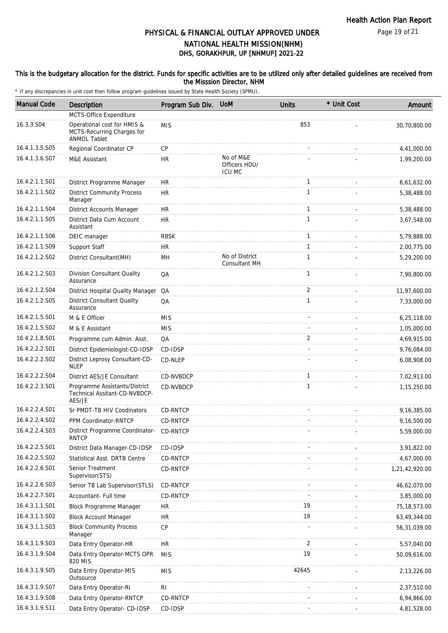#### This is the budgetary allocation for the district. Funds for specific activities are to be utilized only after detailed guidelines are received from the Misssion Director, NHM

| <b>Manual Code</b> | Description                                                                      | Program Sub Div. | <b>UoM</b>                                  | <b>Units</b>   | * Unit Cost | Amount         |
|--------------------|----------------------------------------------------------------------------------|------------------|---------------------------------------------|----------------|-------------|----------------|
|                    | MCTS-Office Expenditure                                                          |                  |                                             |                |             |                |
| 16.3.3.S04         | Operational cost for HMIS &<br>MCTS-Recurring Charges for<br><b>ANMOL Tablet</b> | <b>MIS</b>       |                                             | 853            |             | 30,70,800.00   |
| 16.4.1.3.5.S05     | Regional Coordinator CP                                                          | <b>CP</b>        |                                             |                |             | 4,41,000.00    |
| 16.4.1.3.6.S07     | M&E Assistant                                                                    | <b>HR</b>        | No of M&E<br>Officers HDU/<br><b>ICU MC</b> |                |             | 1,99,200.00    |
| 16.4.2.1.1.S01     | District Programme Manager                                                       | <b>HR</b>        |                                             | $\mathbf{1}$   |             | 6,61,632.00    |
| 16.4.2.1.1.S02     | <b>District Community Process</b><br>Manager                                     | <b>HR</b>        |                                             | 1              |             | 5,38,488.00    |
| 16.4.2.1.1.S04     | <b>District Accounts Manager</b>                                                 | <b>HR</b>        |                                             | $\mathbf{1}$   |             | 5,38,488.00    |
| 16.4.2.1.1.S05     | District Data Cum Account<br>Assistant                                           | <b>HR</b>        |                                             | $\mathbf{1}$   |             | 3,67,548.00    |
| 16.4.2.1.1.S06     | DEIC manager                                                                     | <b>RBSK</b>      |                                             | $\mathbf{1}$   |             | 5,79,888.00    |
| 16.4.2.1.1.S09     | Support Staff                                                                    | <b>HR</b>        |                                             | $\mathbf{1}$   |             | 2,00,775.00    |
| 16.4.2.1.2.S02     | District Consultant(MH)                                                          | MН               | No of District<br>Consultant MH             | $\mathbf{1}$   |             | 5,29,200.00    |
| 16.4.2.1.2.S03     | Division Consultant Quality<br>Assurance                                         | QA               |                                             | $\mathbf{1}$   |             | 7,90,800.00    |
| 16.4.2.1.2.S04     | District Hospital Quality Manager QA                                             |                  |                                             | 2              |             | 11,97,600.00   |
| 16.4.2.1.2.S05     | <b>District Consultant Quality</b><br>Assurance                                  | QA               |                                             | 1              |             | 7,33,000.00    |
| 16.4.2.1.5.S01     | M & E Officer                                                                    | <b>MIS</b>       |                                             |                |             | 6,25,118.00    |
| 16.4.2.1.5.S02     | M & E Assistant                                                                  | <b>MIS</b>       |                                             |                |             | 1,05,000.00    |
| 16.4.2.1.8.S01     | Programme cum Admin. Asst.                                                       | QA               |                                             | $\overline{2}$ |             | 4,69,915.00    |
| 16.4.2.2.2.S01     | District Epidemiologist-CD-IDSP                                                  | CD-IDSP          |                                             |                |             | 9,76,084.00    |
| 16.4.2.2.2.S02     | District Leprosy Consultant-CD-<br><b>NLEP</b>                                   | CD-NLEP          |                                             |                |             | 6,08,908.00    |
| 16.4.2.2.2.S04     | District AES/JE Consultant                                                       | CD-NVBDCP        |                                             | $\mathbf{1}$   |             | 7,02,913.00    |
| 16.4.2.2.3.S01     | Programme Assistants/District<br>Technical Assitant-CD-NVBDCP-<br>AES/JE         | CD-NVBDCP        |                                             | 1              |             | 1,15,250.00    |
| 16.4.2.2.4.S01     | Sr PMDT-TB HIV Coodinators                                                       | CD-RNTCP         |                                             |                |             | 9,16,385.00    |
| 16.4.2.2.4.S02     | PPM Coordinator-RNTCP                                                            | CD-RNTCP         |                                             |                |             | 9,16,500.00    |
| 16.4.2.2.4.S03     | District Programme Coordinator-<br><b>RNTCP</b>                                  | CD-RNTCP         |                                             |                |             | 5,59,000.00    |
| 16.4.2.2.5.S01     | District Data Manager-CD-IDSP                                                    | CD-IDSP          |                                             |                |             | 3,91,822.00    |
| 16.4.2.2.5.S02     | <b>Statistical Asst. DRTB Centre</b>                                             | CD-RNTCP         |                                             |                |             | 4,67,000.00    |
| 16.4.2.2.6.S01     | Senior Treatment<br>Supervisor(STS)                                              | CD-RNTCP         |                                             |                |             | 1,21,42,920.00 |
| 16.4.2.2.6.S03     | Senior TB Lab Supervisor(STLS)                                                   | CD-RNTCP         |                                             |                |             | 46,62,070.00   |
| 16.4.2.2.7.S01     | Accountant- Full time                                                            | CD-RNTCP         |                                             |                |             | 3,85,000.00    |
| 16.4.3.1.1.S01     | Block Programme Manager                                                          | <b>HR</b>        |                                             | 19             |             | 75, 18, 573.00 |
| 16.4.3.1.1.S02     | <b>Block Account Manager</b>                                                     | <b>HR</b>        |                                             | 19             |             | 63,49,344.00   |
| 16.4.3.1.1.S03     | <b>Block Community Process</b><br>Manager                                        | <b>CP</b>        |                                             |                |             | 56,31,039.00   |
| 16.4.3.1.9.S03     | Data Entry Operator-HR                                                           | <b>HR</b>        |                                             | 2              |             | 5,57,040.00    |
| 16.4.3.1.9.S04     | Data Entry Operator-MCTS OPR<br>820 MIS                                          | <b>MIS</b>       |                                             | 19             |             | 50,09,616.00   |
| 16.4.3.1.9.S05     | Data Entry Operator-MIS<br>Outsource                                             | <b>MIS</b>       |                                             | 42645          |             | 2,13,226.00    |
| 16.4.3.1.9.S07     | Data Entry Operator-RI                                                           | R <sub>l</sub>   |                                             |                |             | 2,37,510.00    |
| 16.4.3.1.9.S08     | Data Entry Operator-RNTCP                                                        | CD-RNTCP         |                                             |                |             | 6,94,866.00    |
| 16.4.3.1.9.S11     | Data Entry Operator- CD-IDSP                                                     | CD-IDSP          |                                             |                |             | 4,81,528.00    |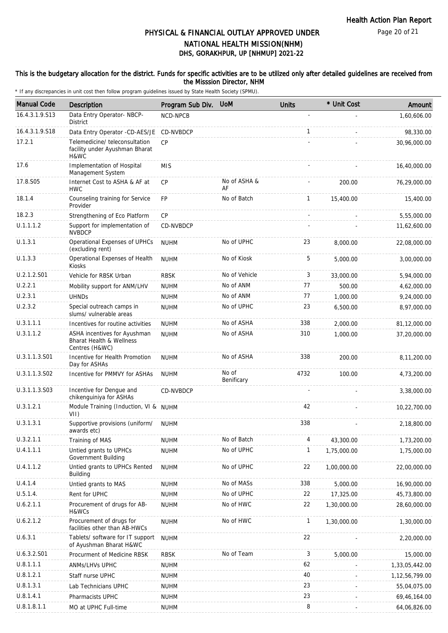Page 20 of 21

## DHS, GORAKHPUR, UP [NHMUP] 2021-22 PHYSICAL & FINANCIAL OUTLAY APPROVED UNDER NATIONAL HEALTH MISSION(NHM)

#### This is the budgetary allocation for the district. Funds for specific activities are to be utilized only after detailed guidelines are received from the Misssion Director, NHM

| <b>Manual Code</b> | Description                                                                           | Program Sub Div. | <b>UoM</b>          | <b>Units</b> | * Unit Cost | Amount         |
|--------------------|---------------------------------------------------------------------------------------|------------------|---------------------|--------------|-------------|----------------|
| 16.4.3.1.9.S13     | Data Entry Operator- NBCP-<br>District                                                | NCD-NPCB         |                     |              |             | 1,60,606.00    |
| 16.4.3.1.9.S18     | Data Entry Operator -CD-AES/JE                                                        | CD-NVBDCP        |                     | $\mathbf{1}$ |             | 98,330.00      |
| 17.2.1             | Telemedicine/teleconsultation<br>facility under Ayushman Bharat<br>H&WC               | CP               |                     |              |             | 30,96,000.00   |
| 17.6               | Implementation of Hospital<br>Management System                                       | <b>MIS</b>       |                     |              |             | 16,40,000.00   |
| 17.8.S05           | Internet Cost to ASHA & AF at<br><b>HWC</b>                                           | <b>CP</b>        | No of ASHA &<br>AF  |              | 200.00      | 76,29,000.00   |
| 18.1.4             | Counseling training for Service<br>Provider                                           | <b>FP</b>        | No of Batch         | $\mathbf{1}$ | 15,400.00   | 15,400.00      |
| 18.2.3             | Strengthening of Eco Platform                                                         | CP               |                     |              |             | 5,55,000.00    |
| U.1.1.1.2          | Support for implementation of<br><b>NVBDCP</b>                                        | CD-NVBDCP        |                     |              |             | 11,62,600.00   |
| U.1.3.1            | Operational Expenses of UPHCs<br>(excluding rent)                                     | <b>NUHM</b>      | No of UPHC          | 23           | 8,000.00    | 22,08,000.00   |
| U.1.3.3            | Operational Expenses of Health<br>Kiosks                                              | <b>NUHM</b>      | No of Kiosk         | 5            | 5,000.00    | 3,00,000.00    |
| U.2.1.2.S01        | Vehicle for RBSK Urban                                                                | <b>RBSK</b>      | No of Vehicle       | 3            | 33,000.00   | 5,94,000.00    |
| U.2.2.1            | Mobility support for ANM/LHV                                                          | <b>NUHM</b>      | No of ANM           | 77           | 500.00      | 4,62,000.00    |
| U.2.3.1            | <b>UHNDs</b>                                                                          | <b>NUHM</b>      | No of ANM           | 77           | 1,000.00    | 9,24,000.00    |
| U.2.3.2            | Special outreach camps in<br>slums/ vulnerable areas                                  | <b>NUHM</b>      | No of UPHC          | 23           | 6,500.00    | 8,97,000.00    |
| U.3.1.1.1          | Incentives for routine activities                                                     | <b>NUHM</b>      | No of ASHA          | 338          | 2,000.00    | 81,12,000.00   |
| U.3.1.1.2          | ASHA incentives for Ayushman<br><b>Bharat Health &amp; Wellness</b><br>Centres (H&WC) | <b>NUHM</b>      | No of ASHA          | 310          | 1,000.00    | 37,20,000.00   |
| U.3.1.1.3.S01      | Incentive for Health Promotion<br>Day for ASHAs                                       | <b>NUHM</b>      | No of ASHA          | 338          | 200.00      | 8,11,200.00    |
| U.3.1.1.3.S02      | Incentive for PMMVY for ASHAs                                                         | <b>NUHM</b>      | No of<br>Benificary | 4732         | 100.00      | 4,73,200.00    |
| U.3.1.1.3.S03      | Incentive for Dengue and<br>chikenguiniya for ASHAs                                   | CD-NVBDCP        |                     |              |             | 3,38,000.00    |
| U.3.1.2.1          | Module Training (Induction, VI & NUHM<br>VII)                                         |                  |                     | 42           |             | 10,22,700.00   |
| U.3.1.3.1          | Supportive provisions (uniform/<br>awards etc)                                        | <b>NUHM</b>      |                     | 338          |             | 2,18,800.00    |
| U.3.2.1.1          | Training of MAS                                                                       | <b>NUHM</b>      | No of Batch         | 4            | 43,300.00   | 1,73,200.00    |
| U.4.1.1.1          | Untied grants to UPHCs<br>Government Building                                         | <b>NUHM</b>      | No of UPHC          | $\mathbf{1}$ | 1,75,000.00 | 1,75,000.00    |
| U.4.1.1.2          | Untied grants to UPHCs Rented<br><b>Building</b>                                      | <b>NUHM</b>      | No of UPHC          | 22           | 1,00,000.00 | 22,00,000.00   |
| U.4.1.4            | Untied grants to MAS                                                                  | <b>NUHM</b>      | No of MASs          | 338          | 5,000.00    | 16,90,000.00   |
| U.5.1.4.           | Rent for UPHC                                                                         | <b>NUHM</b>      | No of UPHC          | 22           | 17,325.00   | 45,73,800.00   |
| U.6.2.1.1          | Procurement of drugs for AB-<br>H&WCs                                                 | <b>NUHM</b>      | No of HWC           | 22           | 1,30,000.00 | 28,60,000.00   |
| U.6.2.1.2          | Procurement of drugs for<br>facilities other than AB-HWCs                             | <b>NUHM</b>      | No of HWC           | $\mathbf{1}$ | 1,30,000.00 | 1,30,000.00    |
| U.6.3.1            | Tablets/ software for IT support<br>of Ayushman Bharat H&WC                           | <b>NUHM</b>      |                     | 22           |             | 2,20,000.00    |
| U.6.3.2.S01        | Procurment of Medicine RBSK                                                           | <b>RBSK</b>      | No of Team          | $\sqrt{3}$   | 5,000.00    | 15,000.00      |
| U.8.1.1.1          | ANMs/LHVs UPHC                                                                        | <b>NUHM</b>      |                     | 62           |             | 1,33,05,442.00 |
| U.8.1.2.1          | Staff nurse UPHC                                                                      | <b>NUHM</b>      |                     | 40           |             | 1,12,56,799.00 |
| U.8.1.3.1          | Lab Technicians UPHC                                                                  | <b>NUHM</b>      |                     | 23           |             | 55,04,075.00   |
| U.8.1.4.1          | Pharmacists UPHC                                                                      | <b>NUHM</b>      |                     | 23           |             | 69,46,164.00   |
| U.8.1.8.1.1        | MO at UPHC Full-time                                                                  | <b>NUHM</b>      |                     | 8            |             | 64,06,826.00   |